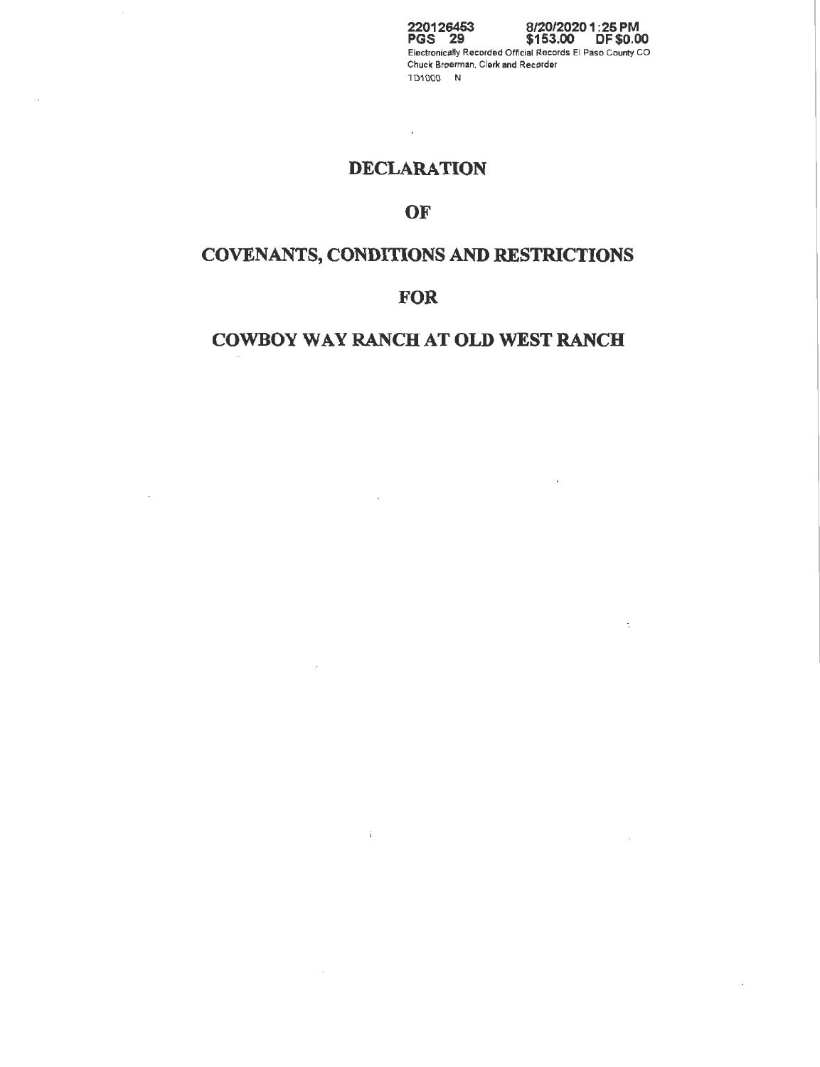**220126453 PGS 29 8/20/20201:25 PM \$153.00 OF \$0.00**  Electronically Recorded Official Records El Paso County CO Chuck Broerman, Clerk and Recorder TD1000 N

 $\overline{\phantom{a}}$ 

 $\ddot{\phantom{a}}$ 

 $\sim$ 

 $\ddot{\phantom{a}}$ 

## **DECLARATION**

 $\overline{\phantom{a}}$ 

 $\mathcal{L}$ 

 $\bar{\phantom{a}}$  .

## **OF**

# **COVENANTS, CONDITIONS AND RESTRICTIONS**

## **FOR**

## **COWBOY WAY RANCH AT OLD WEST RANCH**

 $\bar{\mathcal{A}}$ 

 $\pm$ 

 $\overline{\phantom{a}}$ 

 $\bar{\mathcal{A}}$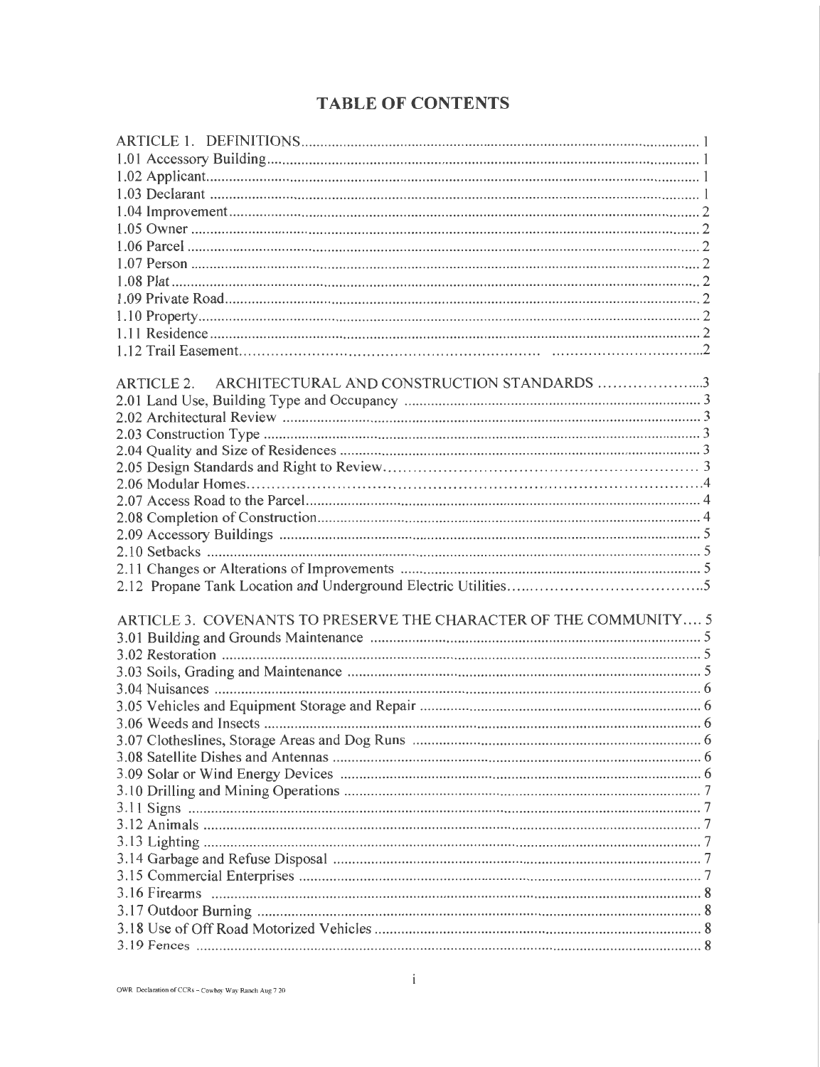## **TABLE OF CONTENTS**

| ARTICLE 2. ARCHITECTURAL AND CONSTRUCTION STANDARDS 3             |  |
|-------------------------------------------------------------------|--|
|                                                                   |  |
|                                                                   |  |
|                                                                   |  |
|                                                                   |  |
|                                                                   |  |
|                                                                   |  |
|                                                                   |  |
|                                                                   |  |
|                                                                   |  |
|                                                                   |  |
|                                                                   |  |
|                                                                   |  |
|                                                                   |  |
| ARTICLE 3. COVENANTS TO PRESERVE THE CHARACTER OF THE COMMUNITY 5 |  |
|                                                                   |  |
|                                                                   |  |
|                                                                   |  |
|                                                                   |  |
|                                                                   |  |
|                                                                   |  |
|                                                                   |  |
|                                                                   |  |
|                                                                   |  |
|                                                                   |  |
|                                                                   |  |
|                                                                   |  |
|                                                                   |  |
|                                                                   |  |
|                                                                   |  |
|                                                                   |  |
|                                                                   |  |
|                                                                   |  |
|                                                                   |  |
|                                                                   |  |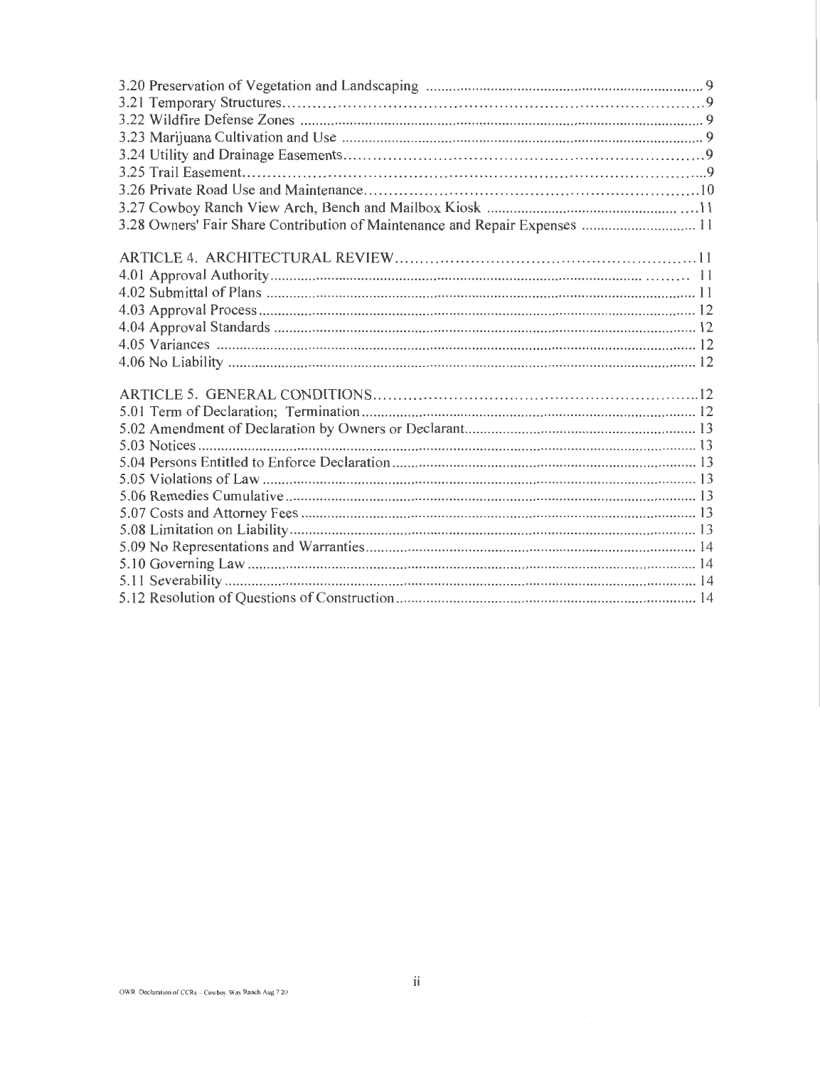| 3.28 Owners' Fair Share Contribution of Maintenance and Repair Expenses  11 |
|-----------------------------------------------------------------------------|
|                                                                             |
|                                                                             |
|                                                                             |
|                                                                             |
|                                                                             |
|                                                                             |
|                                                                             |
|                                                                             |
|                                                                             |
|                                                                             |
|                                                                             |
|                                                                             |
|                                                                             |
|                                                                             |
|                                                                             |
|                                                                             |
|                                                                             |
|                                                                             |
|                                                                             |
|                                                                             |
|                                                                             |
|                                                                             |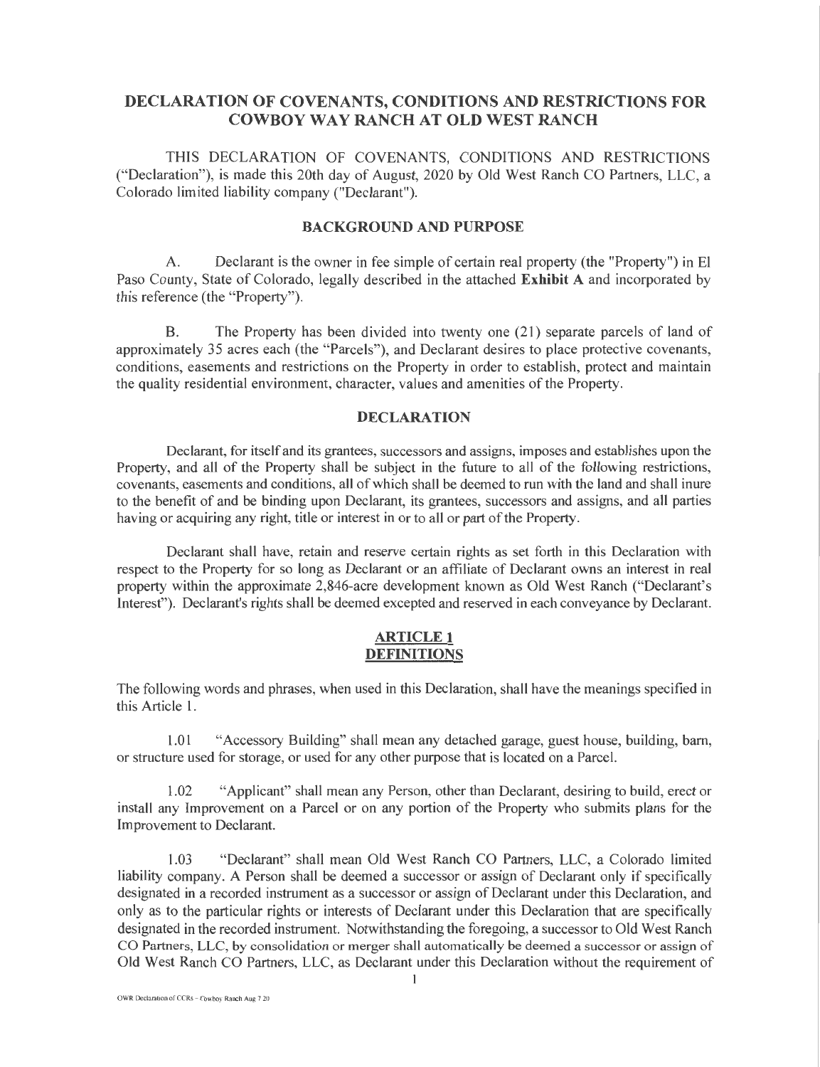## DECLARATION OF COVENANTS, CONDITIONS AND RESTRICTIONS FOR COWBOY WAY RANCH AT OLD WEST RANCH

THIS DECLARATION OF COVENANTS, CONDITIONS AND RESTRICTIONS ("Declaration"), is made this 20th day of August, 2020 by Old West Ranch CO Partners, LLC, a Colorado limited liability company ("Declarant").

## BACKGROUND AND PURPOSE

A. Declarant is the owner in fee simple of certain real property (the "Property") in El Paso County, State of Colorado, legally described in the attached Exhibit A and incorporated by this reference (the "Property").

B. The Property has been divided into twenty one (21) separate parcels of land of approximately 35 acres each (the "Parcels"), and Declarant desires to place protective covenants, conditions, easements and restrictions on the Property in order to establish, protect and maintain the quality residential environment, character, values and amenities of the Property.

#### **DECLARATION**

Declarant, for itself and its grantees, successors and assigns, imposes and establishes upon the Property, and all of the Property shall be subject in the future to all of the following restrictions, covenants, easements and conditions, all of which shall be deemed to run with the land and shall inure to the benefit of and be binding upon Declarant, its grantees, successors and assigns, and all parties having or acquiring any right, title or interest in or to all or part of the Property.

Declarant shall have, retain and reserve certain rights as set forth in this Declaration with respect to the Property for so long as Declarant or an affiliate of Declarant owns an interest in real property within the approximate 2,846-acre development known as Old West Ranch ("Declarant's Interest"). Declarant's rights shall be deemed excepted and reserved in each conveyance by Declarant.

## ARTICLE 1 DEFINITIONS

The following words and phrases, when used in this Declaration, shall have the meanings specified in this Article 1.

1.01 "Accessory Building" shall mean any detached garage, guest house, building, barn, or structure used for storage, or used for any other purpose that is located on a Parcel.

1.02 "Applicant" shall mean any Person, other than Declarant, desiring to build, erect or install any Improvement on a Parcel or on any portion of the Property who submits plans for the Improvement to Declarant.

1.03 "Declarant" shall mean Old West Ranch CO Partners, LLC, a Colorado limited liability company. A Person shall be deemed a successor or assign of Declarant only if specifically designated in a recorded instrument as a successor or assign of Declarant under this Declaration, and only as to the particular rights or interests of Declarant under this Declaration that are specifically designated in the recorded instrument. Notwithstanding the foregoing, a successor to Old West Ranch CO Partners, LLC, by consolidation or merger shall automatically be deemed a successor or assign of Old West Ranch CO Partners, LLC, as Declarant under this Declaration without the requirement of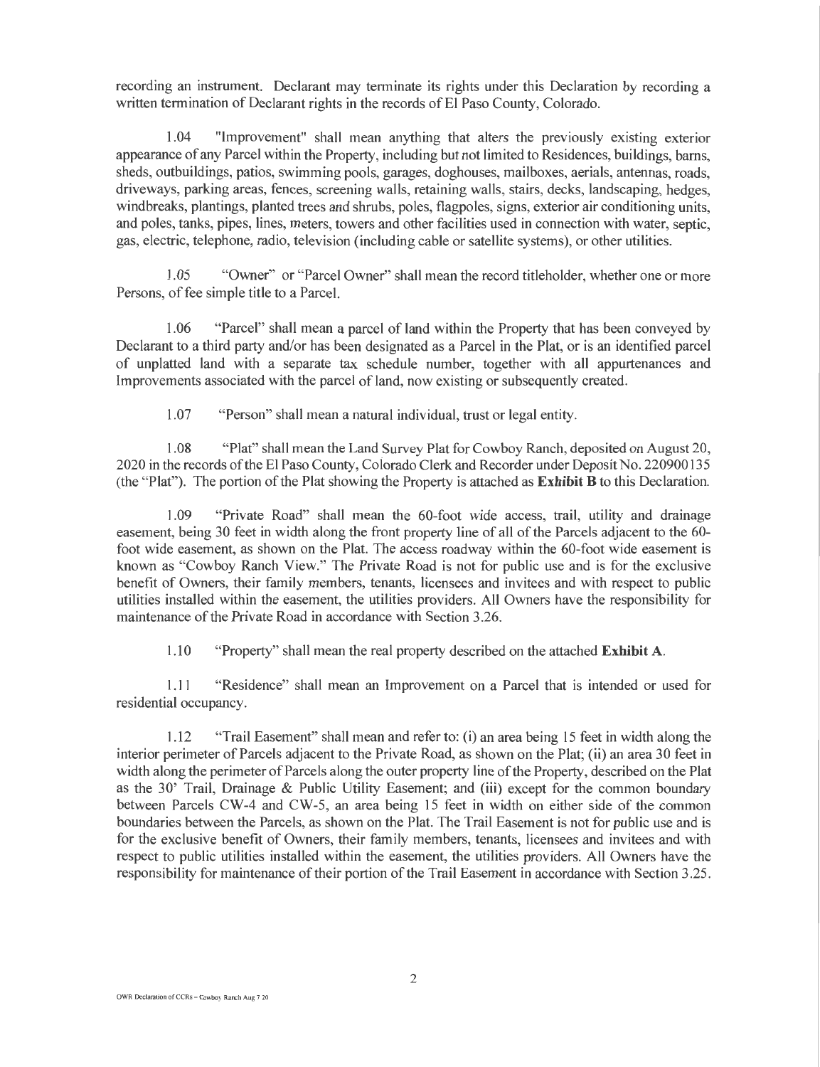recording an instrument. Declarant may terminate its rights under this Declaration by recording a written termination of Declarant rights in the records of El Paso County, Colorado.

1.04 "Improvement" shall mean anything that alters the previously existing exterior appearance of any Parcel within the Property, including but not limited to Residences, buildings, barns, sheds, outbuildings, patios, swimming pools, garages, doghouses, mailboxes, aerials, antennas, roads, driveways, parking areas, fences, screening walls, retaining walls, stairs, decks, landscaping, hedges, windbreaks, plantings, planted trees and shrubs, poles, flagpoles, signs, exterior air conditioning units, and poles, tanks, pipes, lines, meters, towers and other facilities used in connection with water, septic, gas, electric, telephone, radio, television (including cable or satellite systems), or other utilities.

1.05 "Owner" or "Parcel Owner" shall mean the record titleholder, whether one or more Persons, of fee simple title to a Parcel.

1.06 "Parcel" shall mean a parcel of land within the Property that has been conveyed by Declarant to a third party and/or has been designated as a Parcel in the Plat, or is an identified parcel of unplatted land with a separate tax schedule number, together with all appurtenances and Improvements associated with the parcel of land, now existing or subsequently created.

1.07 \_ "Person" shall mean a natural individual, trust or legal entity.

1.08 "Plat" shall mean the Land Survey Plat for Cowboy Ranch, deposited on August 20, 2020 in the records of the El Paso County, Coiorado Clerk and Recorder under Deposit No. 220900135 (the "Plat"). The portion of the Plat showing the Property is attached as Exhibit B to this Declaration.

1.09 "Private Road" shall mean the 60-foot wide access, trail, utility and drainage easement, being 30 feet in width along the front property line of all of the Parcels adjacent to the 60 foot wide easement, as shown on the Plat. The access roadway within the 60-foot wide easement is known as "Cowboy Ranch View." The Private Road is not for public use and is for the exclusive benefit of Owners, their family members, tenants, licensees and invitees and with respect to public utilities installed within the easement, the utilities providers. All Owners have the responsibility for maintenance of the Private Road in accordance with Section 3.26.

1.10 "Property" shall mean the real property described on the attached Exhibit A.

1.11 "Residence" shall mean an Improvement on a Parcel that is intended or used for residential occupancy.

1.12 "Trail Easement" shall mean and refer to: (i) an area being 15 feet in width along the interior perimeter of Parcels adjacent to the Private Road, as shown on the Plat; (ii) an area 30 feet in width along the perimeter of Parcels along the outer property line of the Property, described on the Plat as the 30' Trail, Drainage & Public Utility Easement; and (iii) except for the common boundary between Parcels CW-4 and CW-5, an area being 15 feet in width on either side of the common boundaries between the Parcels, as shown on the Plat. The Trail Easement is not for public use and is for the exclusive benefit of Owners, their family members, tenants, licensees and invitees and with respect to public utilities installed within the easement, the utilities providers. All Owners have the responsibility for maintenance of their portion of the Trail Easement in accordance with Section 3.25.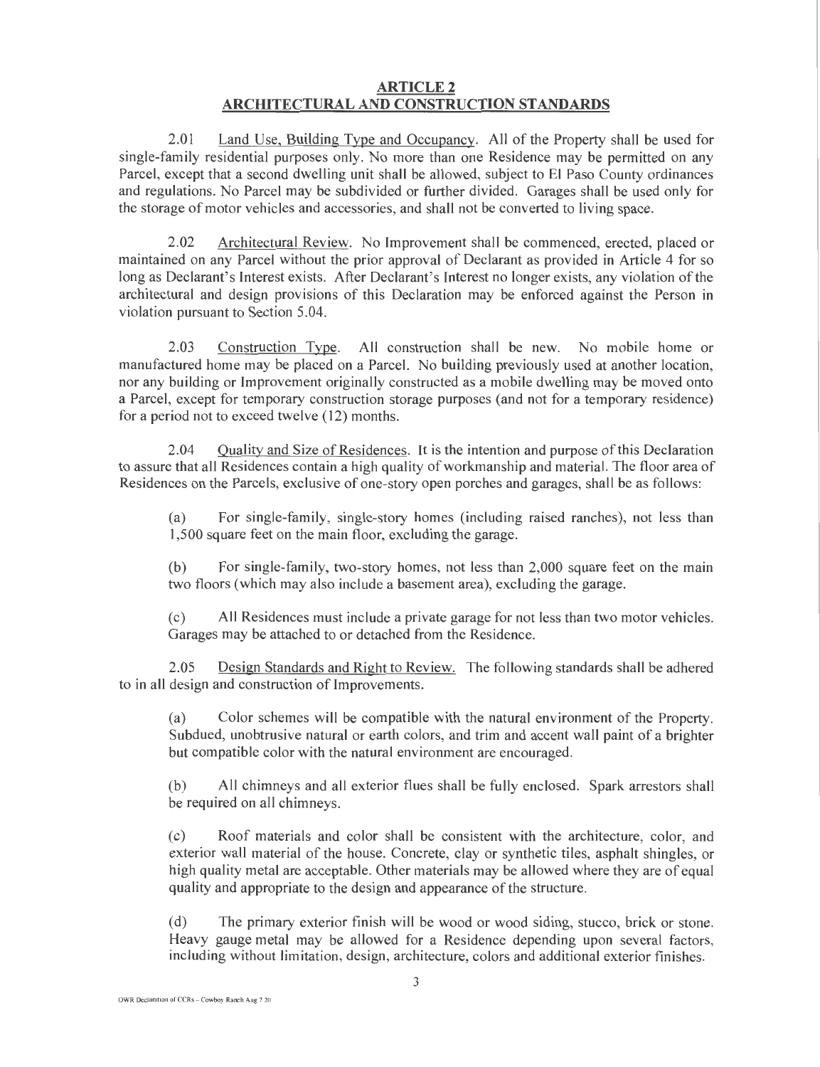## **ARTICLE 2** ARCHITECTURAL AND CONSTRUCTION STANDARDS

2.01 Land Use, Building Type and Occupancy. All of the Property shall be used for single-family residential purposes only. No more than one Residence may be permitted on any Parcel, except that a second dwelling unit shall be allowed, subject to El Paso County ordinances and regulations. No Parcel may be subdivided or further divided. Garages shall be used only for the storage of motor vehicles and accessories, and shall not be converted to living space.

2.02 Architectural Review. No Improvement shall be commenced, erected, placed or maintained on any Parcel without the prior approval of Declarant as provided in Article 4 for so long as Declarant's Interest exists. After Declarant's Interest no longer exists, any violation of the architectural and design provisions of this Declaration may be enforced against the Person in violation pursuant to Section 5.04.

2.03 Construction Type. All construction shall be new. No mobile home or manufactured home may be placed on a Parcel. No building previously used at another location, nor any building or Improvement originally constructed as a mobile dwelling may be moved onto a Parcel, except for temporary construction storage purposes (and not for a temporary residence) for a period not to exceed twelve (12) months.

2.04 Quality and Size of Residences. It is the intention and purpose ofthis Declaration to assure that all Residences contain a high quality of workmanship and material. The floor area of Residences on the Parcels, exclusive of one-story open porches and garages, shall be as follows:

(a) For single-family, single-story homes (including raised ranches), not less than 1,500 square feet on the main floor, excluding the garage.

(b) For single-family, two-story homes, not less than 2,000 square feet on the main two floors (which may also include a basement area), excluding the garage.

(c) All Residences must include a private garage for not less than two motor vehicles. Garages may be attached to or detached from the Residence.

2.05 Design Standards and Right to Review. The following standards shall be adhered to in all design and construction of Improvements.

(a) Color schemes will be compatible with the natural environment of the Property. Subdued, unobtrusive natural or earth colors, and trim and accent wall paint of a brighter but compatible color with the natural environment are encouraged.

(b) All chimneys and all exterior flues shall be fully enclosed. Spark arrestors shall be required on all chimneys.

(c) Roof materials and color shall be consistent with the architecture, color, and exterior wall material of the house. Concrete, clay or synthetic tiles, asphalt shingles, or high quality metal are acceptable. Other materials may be allowed where they are of equal quality and appropriate to the design and appearance of the structure.

(d) The primary exterior finish will be wood or wood siding, stucco, brick or stone. Heavy gauge metal may be allowed for a Residence depending upon several factors, including without limitation, design, architecture, colors and additional exterior finishes.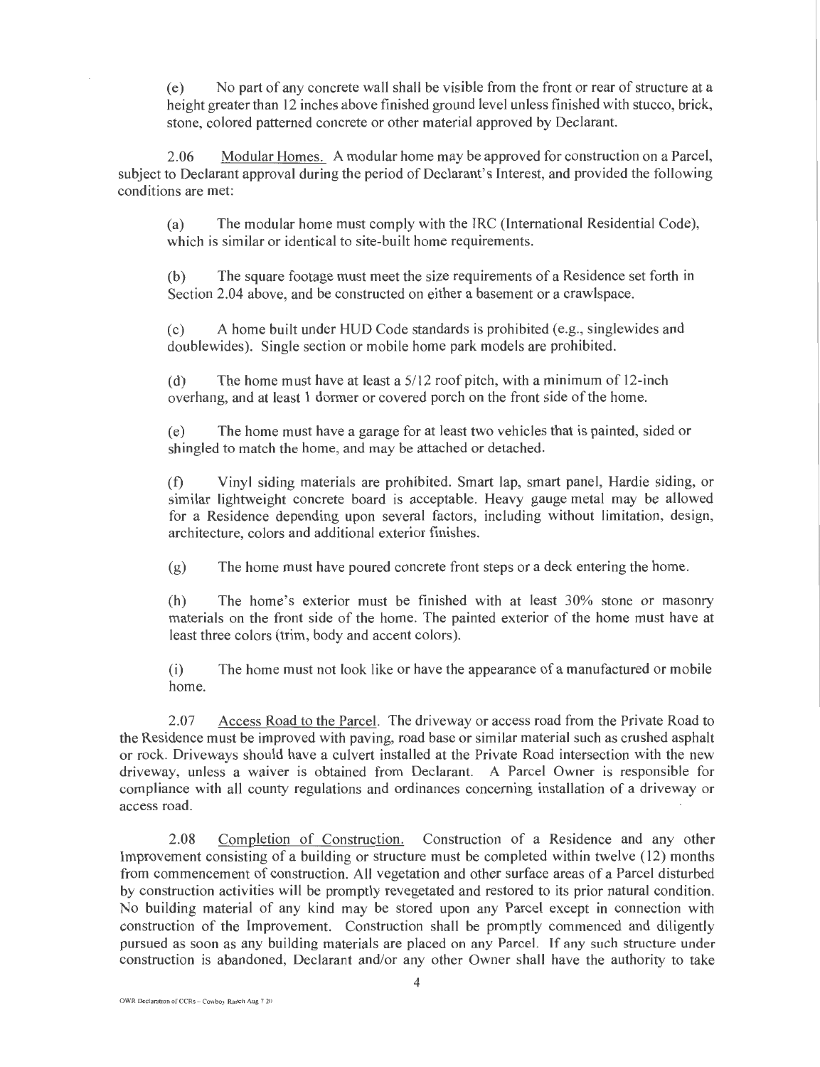(e) No part of any concrete wall shall be visible from the front or rear of structure at a height greater than 12 inches above finished ground level unless finished with stucco, brick, stone, colored patterned concrete or other material approved by Declarant.

2.06 Modular Homes. A modular home may be approved for construction on a Parcel, subject to Declarant approval during the period of Declarant's Interest, and provided the following conditions are met:

(a) The modular home must comply with the IRC (International Residential Code), which is similar or identical to site-built home requirements.

(b) The square footage must meet the size requirements of a Residence set forth in Section 2.04 above, and be constructed on either a basement or a crawlspace.

(c) A home built under HUD Code standards is prohibited (e.g., singlewides and doublewides). Single section or mobile home park models are prohibited.

(d) The home must have at least a 5/12 roof pitch, with a minimum of 12-inch overhang, and at least 1 dormer or covered porch on the front side of the home.

(e) The home must have a garage for at least two vehicles that is painted, sided or shingled to match the home, and may be attached or detached.

(f) Vinyl siding materials are prohibited. Smart lap, smart panel, Hardie siding, or similar lightweight concrete board is acceptable. Heavy gauge metal may be allowed for a Residence depending upon several factors, including without limitation, design, architecture, colors and additional exterior finishes.

(g) The home must have poured concrete front steps or a deck entering the home.

(h) The home's exterior must be finished with at least 30% stone or masonry materials on the front side of the home. The painted exterior of the home must have at least three colors (trim, body and accent colors).

(i) The home must not look like or have the appearance of a manufactured or mobile home.

2.07 Access Road to the Parcel. The driveway or access road from the Private Road to the Residence must be improved with paving, road base or similar material such as crushed asphalt or rock. Driveways should have a culvert installed at the Private Road intersection with the new driveway, unless a waiver is obtained from Declarant. A Parcel Owner is responsible for compliance with all county regulations and ordinances concerning installation of a driveway or access road.

2.08 Completion of Construction. Construction of a Residence and any other Improvement consisting of a building or structure must be completed within twelve (12) months from commencement of construction. All vegetation and other surface areas of a Parcel disturbed by construction activities will be promptly revegetated and restored to its prior natural condition. No building material of any kind may be stored upon any Parcel except in connection with construction of the Improvement. Construction shall be promptly commenced and diligently pursued as soon as any building materials are placed on any Parcel. Tf any such structure under construction is abandoned, Declarant and/or any other Owner shall have the authority to take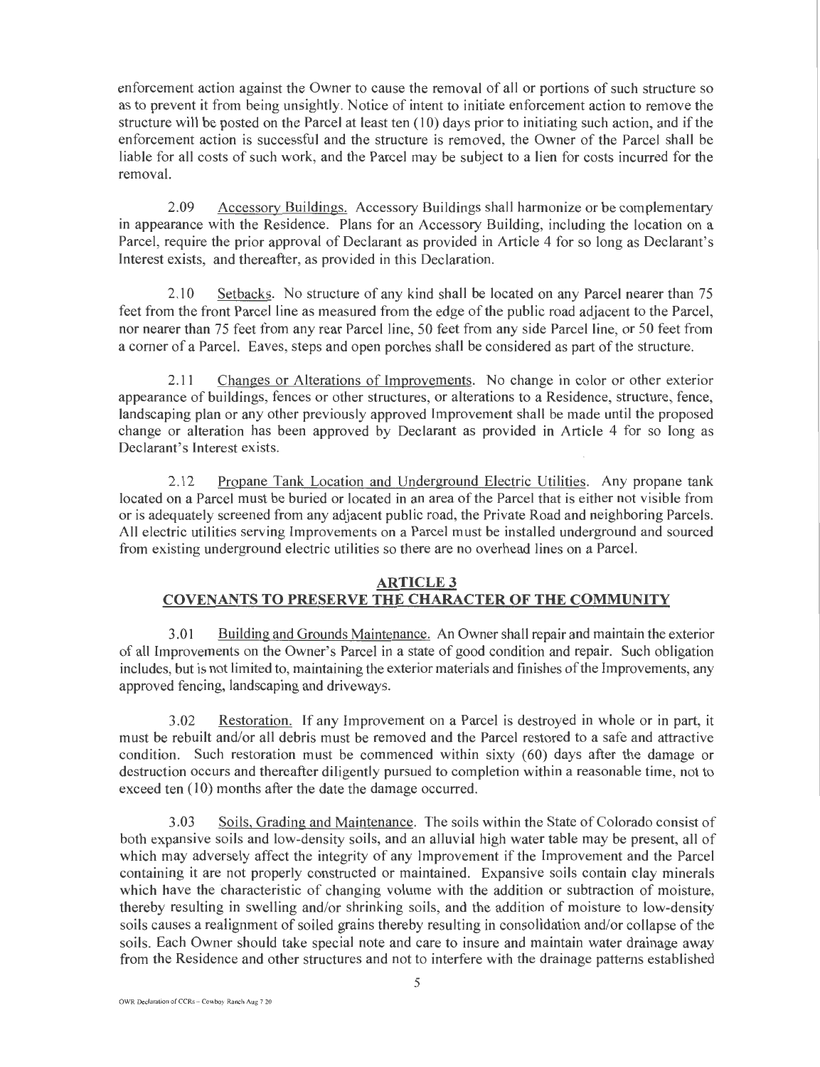enforcement action against the Owner to cause the removal of all or portions of such structure so as to prevent it from being unsightly. Notice of intent to initiate enforcement action to remove the structure will be posted on the Parcel at least ten (10) days prior to initiating such action, and if the enforcement action is successful and the structure is removed, the Owner of the Parcel shall be liable for all costs of such work, and the Parcel may be subject to a lien for costs incurred for the removal.

2.09 Accessory Buildings. Accessory Buildings shall harmonize or be complementary in appearance with the Residence. Plans for an Accessory Building, including the location on a Parcel, require the prior approval of Declarant as provided in Article 4 for so long as Declarant's Interest exists, and thereafter, as provided in this Declaration.

2.10 Setbacks. No structure of any kind shall be located on any Parcel nearer than 75 feet from the front Parcel line as measured from the edge of the public road adjacent to the Parcel, nor nearer than 75 feet from any rear Parcel line, 50 feet from any side Parcel line, or 50 feet from a corner of a Parcel. Eaves, steps and open porches shall be considered as part of the structure.

2.11 Changes or Alterations of Improvements. No change in color or other exterior appearance of buildings, fences or other structures, or alterations to a Residence, structure, fence, landscaping plan or any other previously approved Improvement shall be made until the proposed change or alteration has been approved by Declarant as provided in Article 4 for so long as Declarant's Interest exists.

2.12 Propane Tank Location and Underground Electric Utilities. Any propane tank located on a Parcel must be buried or located in an area of the Parcel that is either not visible from or is adequately screened from any adjacent public road, the Private Road and neighboring Parcels. All electric utilities serving Improvements on a Parcel must be installed underground and sourced from existing underground electric utilities so there are no overhead lines on a Parcel.

## **ARTICLE 3** COVENANTS TO PRESERVE THE CHARACTER OF THE COMMUNITY

3.01 Building and Grounds Maintenance. An Owner shall repair and maintain the exterior of all Improvements on the Owner's Parcel in a state of good condition and repair. Such obligation includes, but is not limited to, maintaining the exterior materials and fmishes of the Improvements, any approved fencing, landscaping and driveways.

3.02 Restoration. If any Improvement on a Parcel is destroyed in whole or in part, it must be rebuilt and/or all debris must be removed and the Parcel restored to a safe and attractive condition. Such restoration must be commenced within sixty (60) days after the damage or destruction occurs and thereafter diligently pursued to completion within a reasonable time, not to exceed ten (10) months after the date the damage occurred.

3.03 Soils, Grading and Maintenance. The soils within the State of Colorado consist of both expansive soils and low-density soils, and an alluvial high water table may be present, all of which may adversely affect the integrity of any Improvement if the Improvement and the Parcel containing it are not properly constructed or maintained. Expansive soils contain clay minerals which have the characteristic of changing volume with the addition or subtraction of moisture, thereby resulting in swelling and/or shrinking soils, and the addition of moisture to low-density soils causes a realignment of soiled grains thereby resulting in consolidation and/or collapse of the soils. Each Owner should take special note and care to insure and maintain water drainage away from the Residence and other structures and not to interfere with the drainage patterns established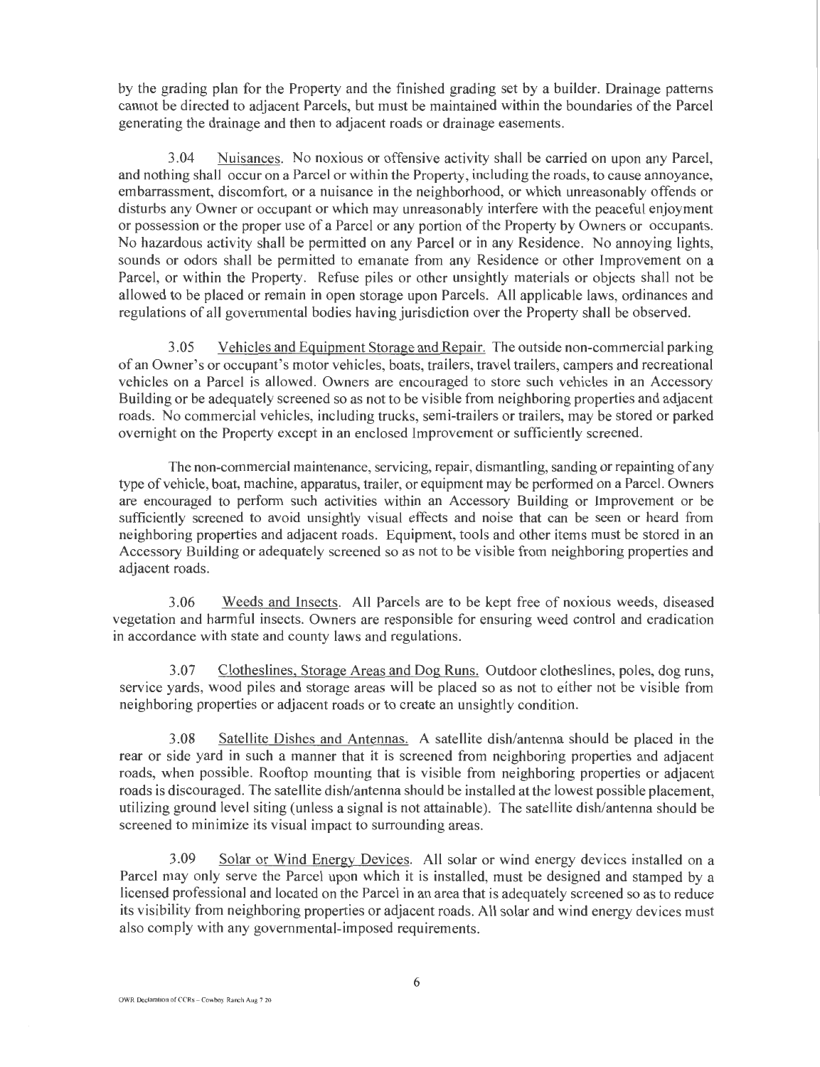by the grading plan for the Property and the finished grading set by a builder. Drainage patterns cannot be directed to adjacent Parcels, but must be maintained within the boundaries of the Parcel generating the drainage and then to adjacent roads or drainage easements.

3.04 Nuisances. No noxious or offensive activity shall be carried on upon any Parcel, and nothing shall occur on a Parcel or within the Property, including the roads, to cause annoyance, embarrassment, discomfort, or a nuisance in the neighborhood, or which unreasonably offends or disturbs any Owner or occupant or which may unreasonably interfere with the peaceful enjoyment or possession or the proper use of a Parcel or any portion of the Property by Owners or occupants. No hazardous activity shall be permitted on any Parcel or in any Residence. No annoying lights, sounds or odors shall be permitted to emanate from any Residence or other Improvement on a Parcel, or within the Property. Refuse piles or other unsightly materials or objects shall not be allowed to be placed or remain in open storage upon Parcels. All applicable laws, ordinances and regulations of all governmental bodies having jurisdiction over the Property shall be observed.

3.05 Vehicles and Equipment Storage and Repair. The outside non-commercial parking of an Owner's or occupant's motor vehicles, boats, trailers, travel trailers, campers and recreational vehicles on a Parcel is allowed. Owners are encouraged to store such vehicles in an Accessory Building or be adequately screened so as not to be visible from neighboring properties and adjacent roads. No commercial vehicles, including trucks, semi-trailers or trailers, may be stored or parked overnight on the Property except in an enclosed Improvement or sufficiently screened.

The non-commercial maintenance, servicing, repair, dismantling, sanding or repainting of any type of vehicle, boat, machine, apparatus, trailer, or equipment may be performed on a Parcel. Owners are encouraged to perform such activities within an Accessory Building or Improvement or be sufficiently screened to avoid unsightly visual effects and noise that can be seen or heard from neighboring properties and adjacent roads. Equipment, tools and other items must be stored in an Accessory Building or adequately screened so as not to be visible from neighboring properties and adjacent roads.

3.06 Weeds and Insects. All Parcels are to be kept free of noxious weeds, diseased vegetation and harmful insects. Owners are responsible for ensuring weed control and eradication in accordance with state and county laws and regulations.

3.07 Clotheslines, Storage Areas and Dog Runs. Outdoor clotheslines, poles, dog runs, service yards, wood piles and storage areas will be placed so as not to either not be visible from neighboring properties or adjacent roads or to create an unsightly condition.

3.08 Satellite Dishes and Antennas. A satellite dish/antenna should be placed in the rear or side yard in such a manner that it is screened from neighboring properties and adjacent roads, when possible. Rooftop mounting that is visible from neighboring properties or adjacent roads is discouraged. The satellite dish/antenna should be installed at the lowest possible placement, utilizing ground level siting (unless a signal is not attainable). The satellite dish/antenna should be screened to minimize its visual impact to surrounding areas.

3.09 Solar or Wind Energy Devices. All solar or wind energy devices installed on a Parcel may only serve the Parcel upon which it is installed, must be designed and stamped by a licensed professional and located on the Parcel in an area that is adequately screened so as to reduce its visibility from neighboring properties or adjacent roads. All solar and wind energy devices must also comply with any governmental-imposed requirements.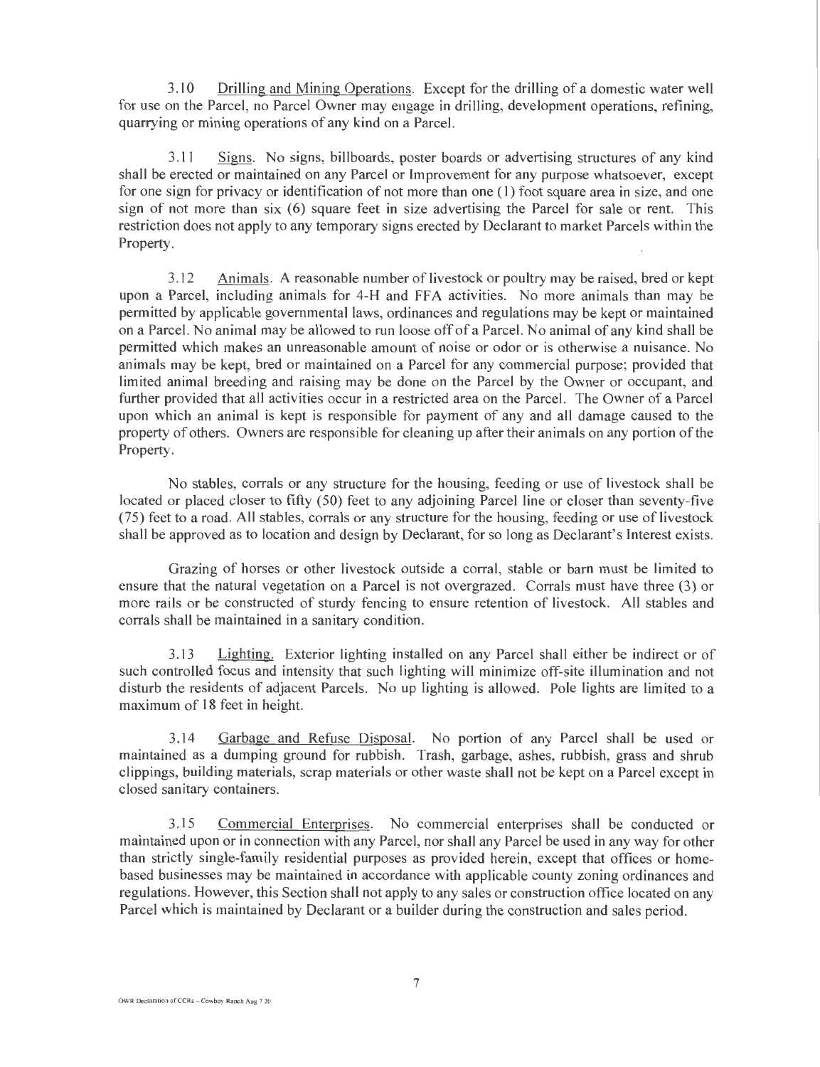3.10 Drilling and Mining Operations. Except for the drilling of a domestic water well for use on the Parcel, no Parcel Owner may engage in drilling, development operations, refining, quarrying or mining operations of any kind on a Parcel.

3.11 Signs. No signs, billboards, poster boards or advertising structures of any kind shall be erected or maintained on any Parcel or Improvement for any purpose whatsoever, except for one sign for privacy or identification of not more than one ( 1) foot square area in size, and one sign of not more than six (6) square feet in size advertising the Parcel for sale or rent. This restriction does not apply to any temporary signs erected by Declarant to market Parcels within the Property.

3.12 Animals. A reasonable number of livestock or poultry may be raised, bred or kept upon a Parcel, including animals for 4-H and FF A activities. No more animals than may be permitted by applicable governmental laws, ordinances and regulations may be kept or maintained on a Parcel. No animal may be allowed to run loose off of a Parcel. No animal of any kind shall be permitted which makes an unreasonable amount of noise or odor or is otherwise a nuisance. No animals may be kept, bred or maintained on a Parcel for any commercial purpose; provided that limited animal breeding and raising may be done on the Parcel by the Owner or occupant, and further provided that all activities occur in a restricted area on the Parcel. The Owner of a Parcel upon which an animal is kept is responsible for payment of any and all damage caused to the property of others. Owners are responsible for cleaning up after their animals on any portion of the Property.

No stables, corrals or any structure for the housing, feeding or use of livestock shall be located or placed closer to fifty (50) feet to any adjoining Parcel line or closer than seventy-five (75) feet to a road. All stables, corrals or any structure for the housing, feeding or use of livestock shall be approved as to location and design by Declarant, for so long as Declarant's Interest exists.

Grazing of horses or other livestock outside a corral, stable or barn must be limited to ensure that the natural vegetation on a Parcel is not overgrazed. Corrals must have three (3) or more rails or be constructed of sturdy fencing to ensure retention of livestock. All stables and corrals shall be maintained in a sanitary condition.

3.13 Lighting. Exterior lighting installed on any Parcel shall either be indirect or of such controlled focus and intensity that such lighting will minimize off-site illumination and not disturb the residents of adjacent Parcels. No up lighting is allowed. Pole lights are limited to a maximum of 18 feet in height.

3.14 Garbage and Refuse Disposal. No portion of any Parcel shall be used or maintained as a dumping ground for rubbish. Trash, garbage, ashes, rubbish, grass and shrub clippings, building materials, scrap materials or other waste shall not be kept on a Parcel except in closed sanitary containers.

3.15 Commercial Enterprises. No commercial enterprises shall be conducted or maintained upon or in connection with any Parcel, nor shall any Parcel be used in any way for other than strictly single-family residential purposes as provided herein, except that offices or homebased businesses may be maintained in accordance with applicable county zoning ordinances and regulations. However, this Section shall not apply to any sales or construction office located on any Parcel which is maintained by Declarant or a builder during the construction and sales period.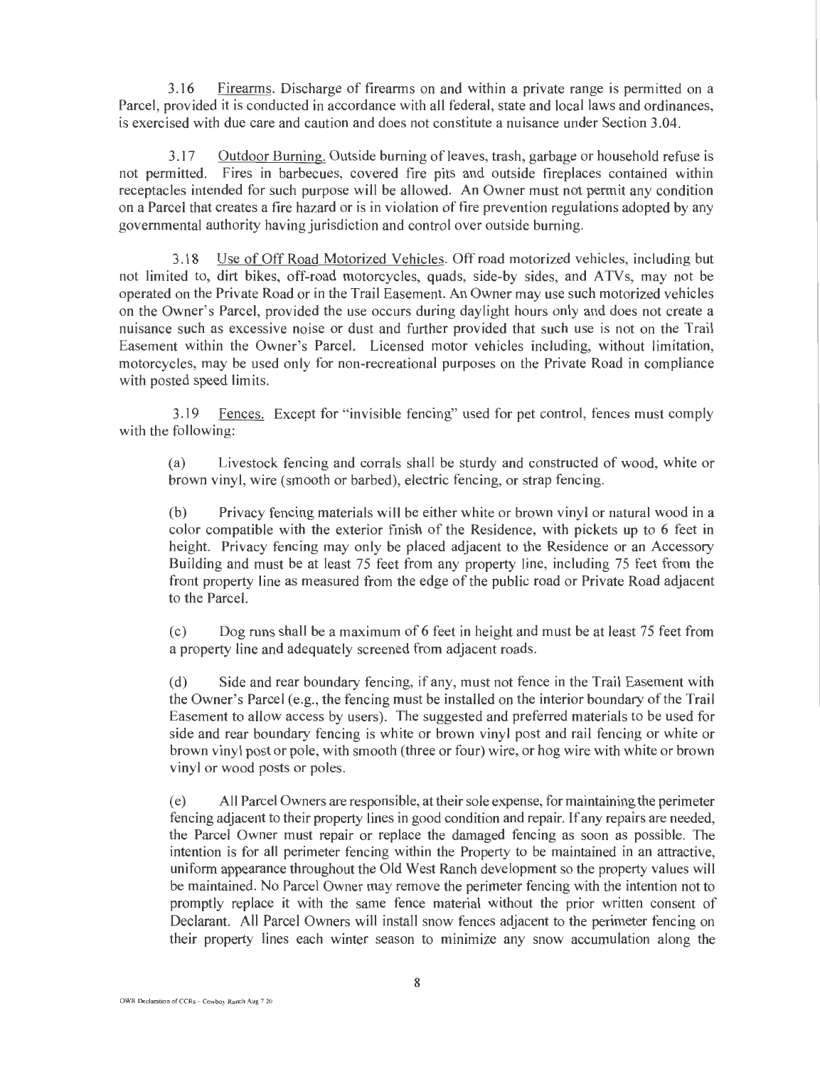3.16 Firearms. Discharge of firearms on and within a private range is permitted on a Parcel, provided it is conducted in accordance with all federal, state and local laws and ordinances, is exercised with due care and caution and does not constitute a nuisance under Section 3.04.

3.17 Outdoor Burning. Outside burning of leaves, trash, garbage or household refuse is not permitted. Fires in barbecues, covered fire pits and outside fireplaces contained within receptacles intended for such purpose will be allowed. An Owner must not permit any condition on a Parcel that creates a fire hazard or is in violation of fire prevention regulations adopted by any governmental authority having jurisdiction and control over outside burning.

3.18 Use ofOffRoad Motorized Vehicles. Offroad motorized vehicles, including but not limited to, dirt bikes, off-road motorcycles, quads, side-by sides, and ATVs, may not be operated on the Private Road or in the Trail Easement. An Owner may use such motorized vehicles on the Owner's Parcel, provided the use occurs during daylight hours only and does not create a nuisance such as excessive noise or dust and further provided that such use is not on the Trail Easement within the Owner's Parcel. Licensed motor vehicles including, without limitation, motorcycles, may be used only for non-recreational purposes on the Private Road in compliance with posted speed limits.

3.19 Fences. Except for "invisible fencing" used for pet control, fences must comply with the following:

(a) Livestock fencing and corrals shall be sturdy and constructed of wood, white or brown vinyl, wire (smooth or barbed), electric fencing, or strap fencing.

(b) Privacy fencing materials will be either white or brown vinyl or natural wood in a color compatible with the exterior finish of the Residence, with pickets up to 6 feet in height. Privacy fencing may only be placed adjacent to the Residence or an Accessory Building and must be at least 75 feet from any property line, including 75 feet from the front property line as measured from the edge of the public road or Private Road adjacent to the Parcel.

(c) Dog runs shall be a maximum of6 feet in height and must be at least 75 feet from a property line and adequately screened from adjacent roads.

(d) Side and rear boundary fencing, if any, must not fence in the Trail Easement with the Owner's Parcel (e.g., the fencing must be installed on the interior boundary of the Trail Easement to allow access by users). The suggested and preferred materials to be used for side and rear boundary fencing is white or brown vinyl post and rail fencing or white or brown vinyl post or pole, with smooth (three or four) wire, or hog wire with white or brown vinyl or wood posts or poles.

(e) All Parcel Owners are responsible, at their sole expense, for maintaining the perimeter fencing adjacent to their property lines in good condition and repair. If any repairs are needed, the Parcel Owner must repair or replace the damaged fencing as soon as possible. The intention is for all perimeter fencing within the Property to be maintained in an attractive, uniform appearance throughout the Old West Ranch development so the property values will be maintained. No Parcel Owner may remove the perimeter fencing with the intention not to promptly replace it with the same fence material without the prior written consent of Declarant. All Parcel Owners will install snow fences adjacent to the perimeter fencing on their property lines each winter season to minimize any snow accumulation along the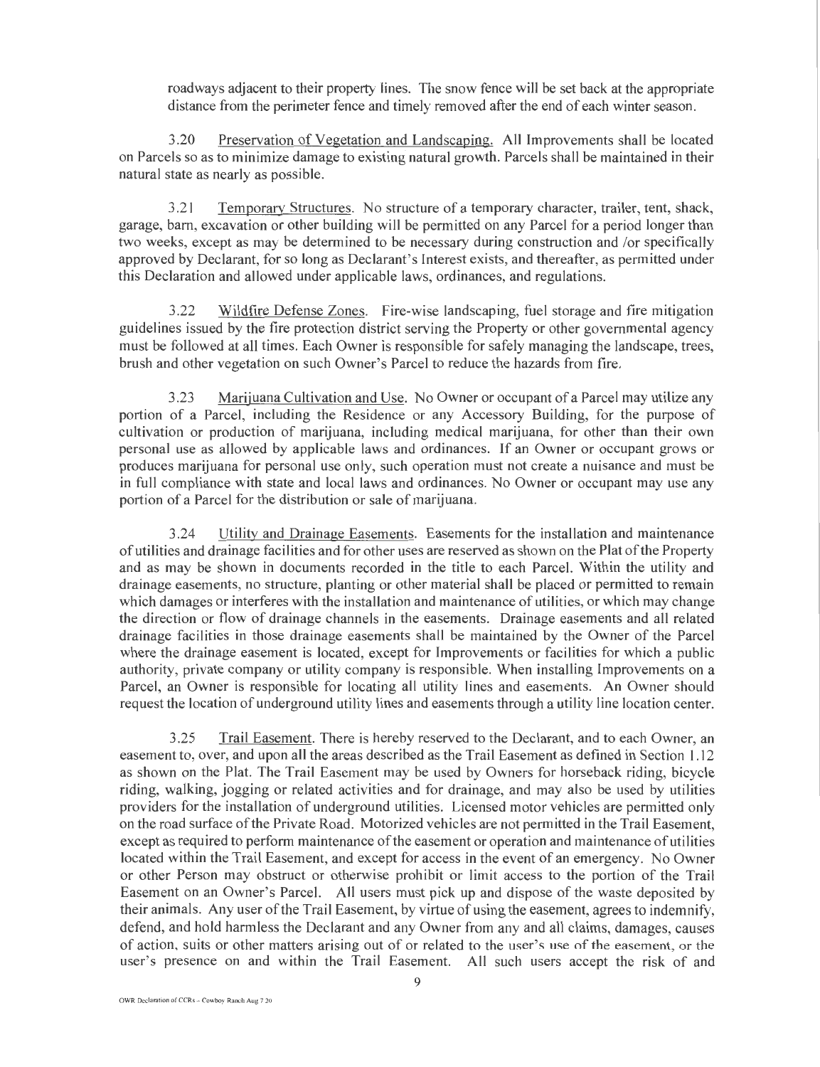roadways adjacent to their property lines. The snow fence will be set back at the appropriate distance from the perimeter fence and timely removed after the end of each winter season.

Preservation of Vegetation and Landscaping. All Improvements shall be located on Parcels so as to minimize damage to existing natural growth. Parcels shall be maintained in their natural state as nearly as possible.

3.21 Temporary Structures. No structure of a temporary character, trailer, tent, shack, garage, barn, excavation or other building will be permitted on any Parcel for a period longer than two weeks, except as may be determined to be necessary during construction and /or specifically approved by Declarant, for so long as Declarant's Interest exists, and thereafter, as permitted under this Declaration and allowed under applicable laws, ordinances, and regulations.

3.22 Wildfire Defense Zones. Fire-wise landscaping, fuel storage and fire mitigation guidelines issued by the fire protection district serving the Property or other governmental agency must be followed at all times. Each Owner is responsible for safely managing the landscape, trees, brush and other vegetation on such Owner's Parcel to reduce the hazards from fire.

3.23 Marijuana Cultivation and Use. No Owner or occupant of a Parcel may utilize any portion of a Parcel, including the Residence or any Accessory Building, for the purpose of cultivation or production of marijuana, including medical marijuana, for other than their own personal use as allowed by applicable laws and ordinances. If an Owner or occupant grows or produces marijuana for personal use only, such operation must not create a nuisance and must be in full compliance with state and local laws and ordinances. No Owner or occupant may use any portion of a Parcel for the distribution or sale of marijuana.

3.24 Utility and Drainage Easements. Easements for the installation and maintenance of utilities and drainage facilities and for other uses are reserved as shown on the Plat of the Property and as may be shown in documents recorded in the title to each Parcel. Within the utility and drainage easements, no structure, planting or other material shall be placed or permitted to remain which damages or interferes with the installation and maintenance of utilities, or which may change the direction or flow of drainage channels in the easements. Drainage easements and all related drainage facilities in those drainage easements shall be maintained by the Owner of the Parcel where the drainage easement is located, except for Improvements or facilities for which a public authority, private company or utility company is responsible. When installing Improvements on a Parcel, an Owner is responsible for locating all utility lines and easements. An Owner should request the location of underground utility lines and easements through a utility line location center.

3.25 Trail Easement. There is hereby reserved to the Declarant, and to each Owner, an easement to, over, and upon all the areas described as the Trail Easement as defined in Section 1.12 as shown on the Plat. The Trail Easement may be used by Owners for horseback riding, bicycle riding, walking, jogging or related activities and for drainage, and may also be used by utilities providers for the installation of underground utilities. Licensed motor vehicles are permitted only on the road surface of the Private Road. Motorized vehicles are not permitted in the Trail Easement, except as required to perform maintenance of the easement or operation and maintenance of utilities located within the Trail Easement, and except for access in the event of an emergency. No Owner or other Person may obstruct or otherwise prohibit or limit access to the portion of the Trail Easement on an Owner's Parcel. All users must pick up and dispose ofthe waste deposited by their animals. Any user of the Trail Easement, by virtue of using the easement, agrees to indemnify, defend, and hold harmless the Declarant and any Owner from any and all claims, damages, causes of action, suits or other matters arising out of or related to the user's use of the easement, or the user's presence on and within the Trail Easement. All such users accept the risk of and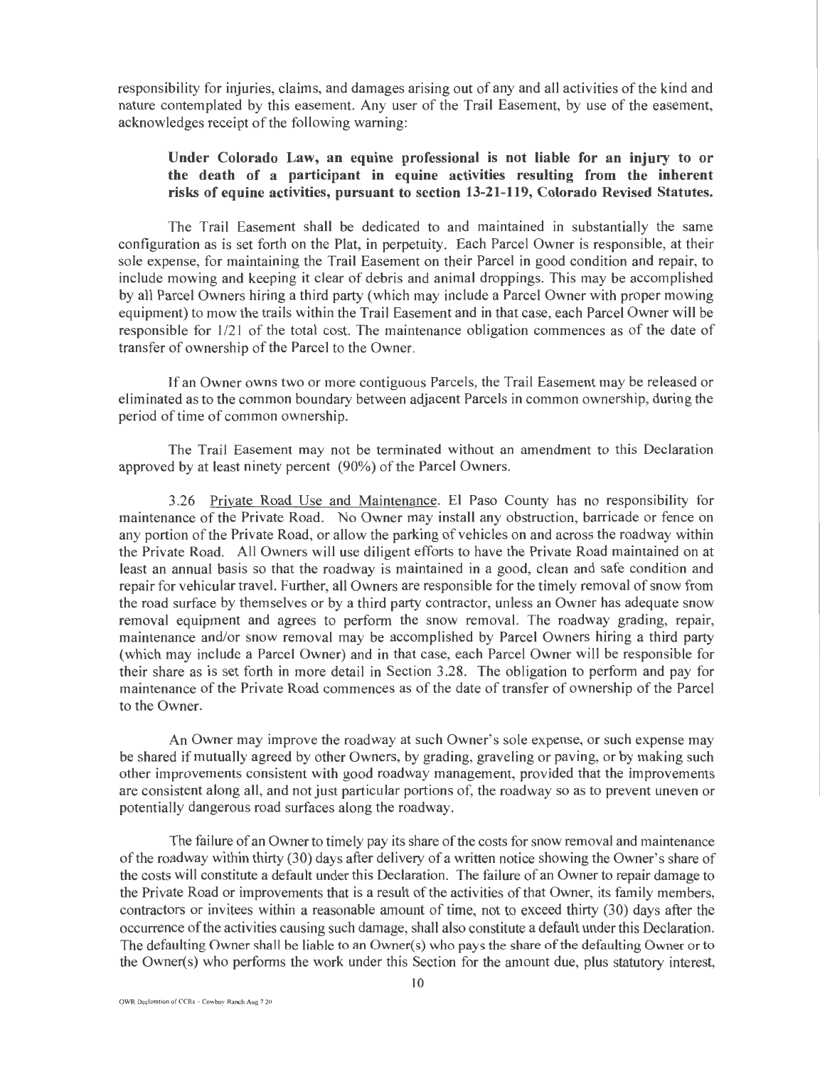responsibility for injuries, claims, and damages arising out of any and all activities of the kind and nature contemplated by this easement. Any user of the Trail Easement, by use of the easement, acknowledges receipt of the following warning:

## Under Colorado Law, an equine professional is not liable for an injury to or the death of a participant in equine activities resulting from the inherent risks of equine activities, pursuant to section 13-21-119, Colorado Revised Statutes.

The Trail Easement shall be dedicated to and maintained in substantially the same configuration as is set forth on the Plat, in perpetuity. Each Parcel Owner is responsible, at their sole expense, for maintaining the Trail Easement on their Parcel in good condition and repair, to include mowing and keeping it clear of debris and animal droppings. This may be accomplished by all Parcel Owners hiring a third party (which may include a Parcel Owner with proper mowing equipment) to mow the trails within the Trail Easement and in that case, each Parcel Owner will be responsible for 1/21 of the total cost. The maintenance obligation commences as of the date of transfer of ownership of the Parcel to the Owner.

If an Owner owns two or more contiguous Parcels, the Trail Easement may be released or eliminated as to the common boundary between adjacent Parcels in common ownership, during the period of time of common ownership.

The Trail Easement may not be terminated without an amendment to this Declaration approved by at least ninety percent (90%) of the Parcel Owners.

3.26 Private Road Use and Maintenance. El Paso County has no responsibility for maintenance of the Private Road. No Owner may install any obstruction, barricade or fence on any portion of the Private Road, or allow the parking of vehicles on and across the roadway within the Private Road. All Owners will use diligent efforts to have the Private Road maintained on at least an annual basis so that the roadway is maintained in a good, clean and safe condition and repair for vehicular travel. Further, all Owners are responsible for the timely removal of snow from the road surface by themselves or by a third party contractor, unless an Owner has adequate snow removal equipment and agrees to perform the snow removal. The roadway grading, repair, maintenance and/or snow removal may be accomplished by Parcel Owners hiring a third party (which may include a Parcel Owner) and in that case, each Parcel Owner will be responsible for their share as is set forth in more detail in Section 3.28. The obligation to perform and pay for maintenance of the Private Road commences as of the date of transfer of ownership of the Parcel to the Owner.

An Owner may improve the roadway at such Owner's sole expense, or such expense may be shared if mutually agreed by other Owners, by grading, graveling or paving, or by making such other improvements consistent with good roadway management, provided that the improvements are consistent along all, and not just particular portions of, the roadway so as to prevent uneven or potentially dangerous road surfaces along the roadway.

The failure of an Owner to timely pay its share of the costs for snow removal and maintenance ofthe roadway within thirty (30) days after delivery of a written notice showing the Owner's share of the costs will constitute a default under this Declaration. The failure of an Owner to repair damage to the Private Road or improvements that is a result of the activities of that Owner, its family members, contractors or invitees within a reasonable amount of time, not to exceed thirty (30) days after the occurrence of the activities causing such damage, shall also constitute a default under this Declaration. The defaulting Owner shall be liable to an Owner(s) who pays the share of the defaulting Owner or to the Owner(s) who performs the work under this Section for the amount due, plus statutory interest,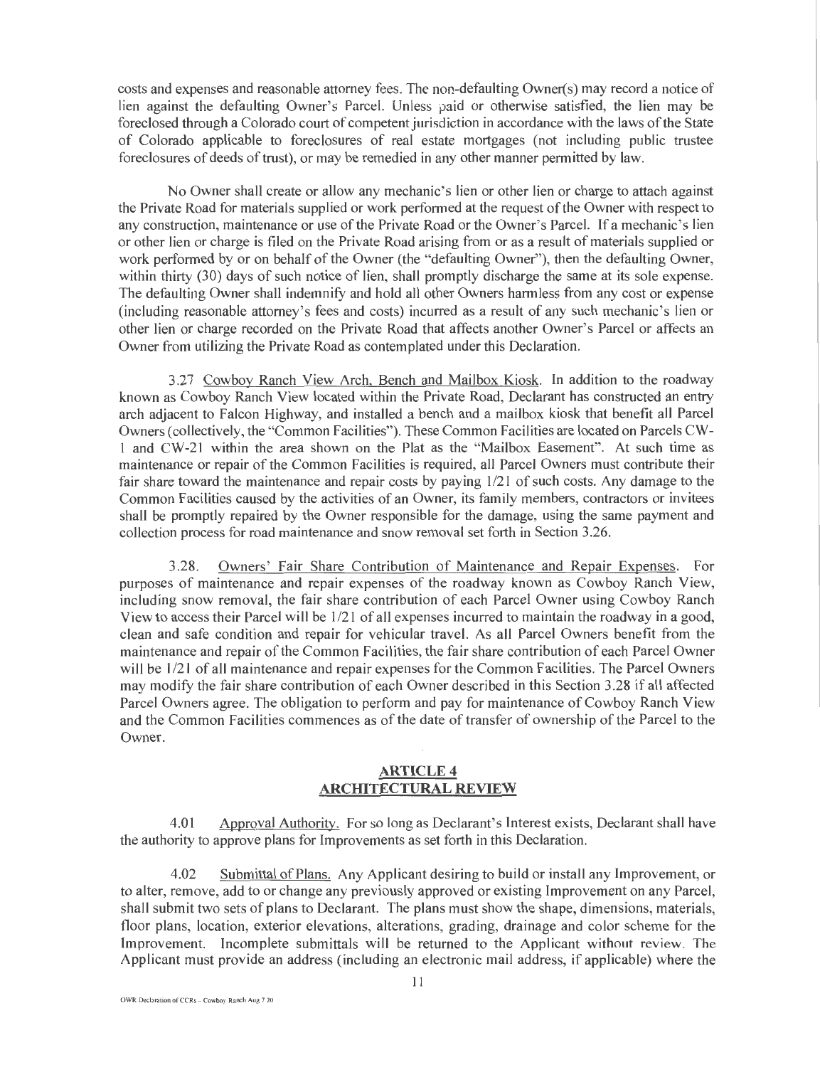costs and expenses and reasonable attorney fees. The non-defaulting Owner(s) may record a notice of lien against the defaulting Owner's Parcel. Unless paid or otherwise satisfied, the lien may be foreclosed through a Colorado court of competent jurisdiction in accordance with the laws of the State of Colorado applicable to foreclosures of real estate mortgages (not including public trustee foreclosures of deeds of trust), or may be remedied in any other manner permitted by law.

No Owner shall create or allow any mechanic's lien or other lien or charge to attach against the Private Road for materials supplied or work performed at the request of the Owner with respect to any construction, maintenance or use of the Private Road or the Owner's Parcel. If a mechanic's lien or other lien or charge is filed on the Private Road arising from or as a result of materials supplied or work performed by or on behalf of the Owner (the "defaulting Owner"), then the defaulting Owner, within thirty (30) days of such notice of lien, shall promptly discharge the same at its sole expense. The defaulting Owner shall indemnify and hold all other Owners harmless from any cost or expense (including reasonable attorney's fees and costs) incurred as a result of any such mechanic's lien or other lien or charge recorded on the Private Road that affects another Owner's Parcel or affects an Owner from utilizing the Private Road as contemplated under this Declaration.

3.27 Cowboy Ranch View Arch, Bench and Mailbox Kiosk. In addition to the roadway known as Cowboy Ranch View located within the Private Road, Declarant has constructed an entry arch adjacent to Falcon Highway, and installed a bench and a mailbox kiosk that benefit all Parcel Owners (collectively, the "Common Facilities"). These Common Facilities are located on Parcels CW-1 and CW-21 within the area shown on the Plat as the "Mailbox Easement". At such time as maintenance or repair of the Common Facilities is required, all Parcel Owners must contribute their fair share toward the maintenance and repair costs by paying  $1/21$  of such costs. Any damage to the Common Facilities caused by the activities of an Owner, its family members, contractors or invitees shall be promptly repaired by the Owner responsible for the damage, using the same payment and collection process for road maintenance and snow removal set forth in Section 3.26.

3.28. Owners' Fair Share Contribution of Maintenance and Repair Expenses. For purposes of maintenance and repair expenses of the roadway known as Cowboy Ranch View, including snow removal, the fair share contribution of each Parcel Owner using Cowboy Ranch View to access their Parcel will be  $1/21$  of all expenses incurred to maintain the roadway in a good, clean and safe condition and repair for vehicular travel. As all Parcel Owners benefit from the maintenance and repair of the Common Facilities, the fair share contribution of each Parcel Owner will be  $1/21$  of all maintenance and repair expenses for the Common Facilities. The Parcel Owners may modify the fair share contribution of each Owner described in this Section 3.28 if all affected Parcel Owners agree. The obligation to perfonn and pay for maintenance of Cowboy Ranch View and the Common Facilities commences as of the date of transfer of ownership of the Parcel to the Owner.

## **ARTICLE 4 ARCHITECTURAL REVIEW**

4.01 Approval Authority. For so long as Declarant's Interest exists, Declarant shall have the authority to approve plans for Improvements as set forth in this Declaration.

4.02 Submittal of Plans. Any Applicant desiring to build or install any Improvement, or to alter, remove, add to or change any previously approved or existing Improvement on any Parcel, shall submit two sets of plans to Declarant. The plans must show the shape, dimensions, materials, floor plans, location, exterior elevations, alterations, grading, drainage and color scheme for the Improvement. Incomplete submittals will be returned to the Applicant without review. The Applicant must provide an address (including an electronic mail address, if applicable) where the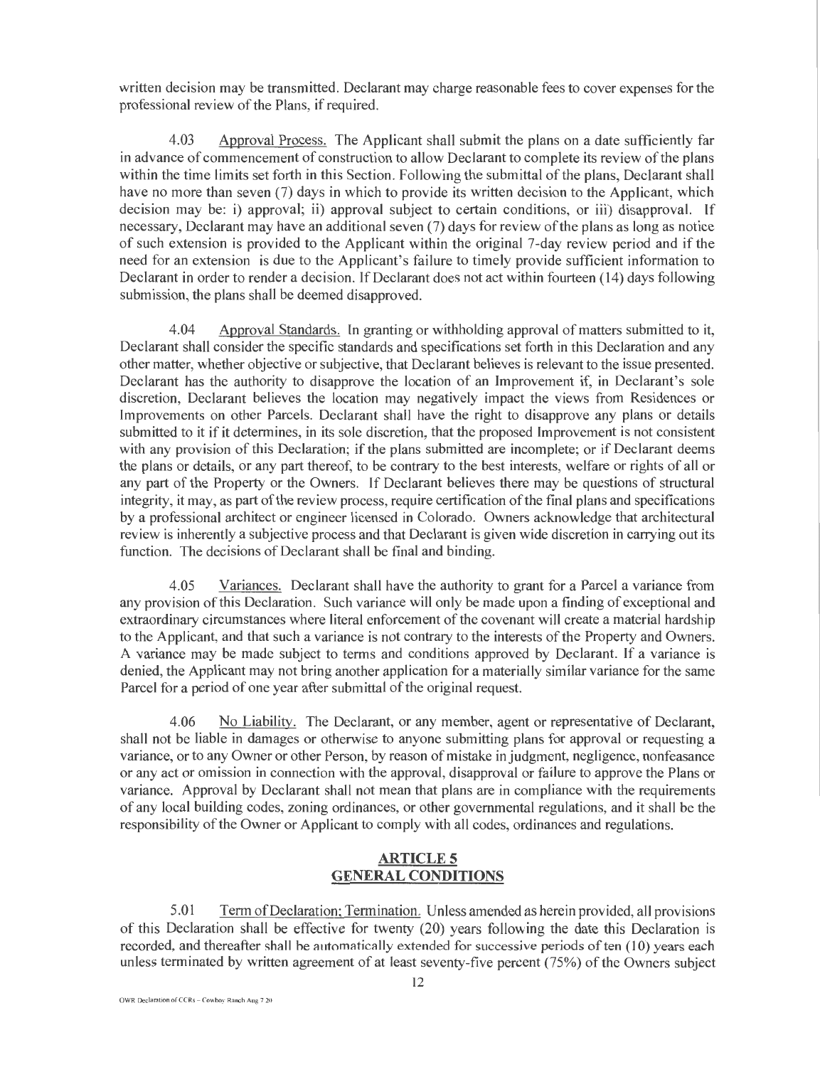written decision may be transmitted. Declarant may charge reasonable fees to cover expenses for the professional review of the Plans, if required.

4.03 Approval Process. The Applicant shall submit the plans on a date sufficiently far in advance of commencement of construction to allow Declarant to complete its review of the plans within the time limits set forth in this Section. Following the submittal of the plans, Declarant shall have no more than seven (7) days in which to provide its written decision to the Applicant, which decision may be: i) approval; ii) approval subject to certain conditions, or iii) disapproval. **lf**  necessary, Declarant may have an additional seven (7) days for review of the plans as long as notice of such extension is provided to the Applicant within the original 7-day review period and if the need for an extension is due to the Applicant's failure to timely provide sufficient information to Declarant in order to render a decision. If Declarant does not act within fourteen (14) days following submission, the plans shall be deemed disapproved.

4.04 Approval Standards. In granting or withholding approval of matters submitted to it, Declarant shall consider the specific standards and specifications set forth in this Declaration and any other matter, whether objective or subjective, that Declarant believes is relevant to the issue presented. Declarant has the authority to disapprove the location of an Improvement if, **in** Declarant's sole discretion, Declarant believes the location may negatively impact the views from Residences or Improvements on other Parcels. Declarant shall have the right to disapprove any plans or details submitted to it if it determines, in its sole discretion, that the proposed Improvement is not consistent with any provision of this Declaration; if the plans submitted are incomplete; or if Declarant deems the plans or details, or any part thereof, to be contrary to the best interests, welfare or rights of all or any part of the Property or the Owners. If Declarant believes there may be questions of structural integrity, it may, as part of the review process, require certification of the fmal plans and specifications by a professional architect or engineer licensed in Colorado. Owners acknowledge that architectural review is inherently a subjective process and that Declarant is given wide discretion in carrying out its function. The decisions of Declarant shall be final and binding.

4.05 Variances. Declarant shall have the authority to grant for a Parcel a variance from any provision of this Declaration. Such variance will only be made upon a finding of exceptional and extraordinary circumstances where literal enforcement of the covenant will create a material hardship to the Applicant, and that such a variance is not contrary to the interests of the Property and Owners. A variance may be made subject to terms and conditions approved by Declarant. If a variance is denied, the Applicant may not bring another application for a materially similar variance for the same Parcel for a period of one year after submittal of the original request.

4.06 No Liability. The Declarant, or any member, agent or representative of Declarant, shall not be liable in damages or otherwise to anyone submitting plans for approval or requesting a variance, or to any Owner or other Person, by reason of mistake in judgment, negligence, nonfeasance or any act or omission in connection with the approval, disapproval or failure to approve the Plans or variance. Approval by Declarant shall not mean that plans are in compliance with the requirements of any local building codes, zoning ordinances, or other governmental regulations, and it shall be the responsibility of the Owner or Applicant to comply with all codes, ordinances and regulations.

## **ARTICLES GENERAL CONDITIONS**

5.01 Term ofDeclaration; Termination. Unless amended as herein provided, all provisions of this Declaration shall be effective for twenty (20) years following the date this Declaration is recorded, and thereafter shall be automatically extended for successive periods of ten (10) years each unless terminated by written agreement of at least seventy-five percent (75%) of the Owners subject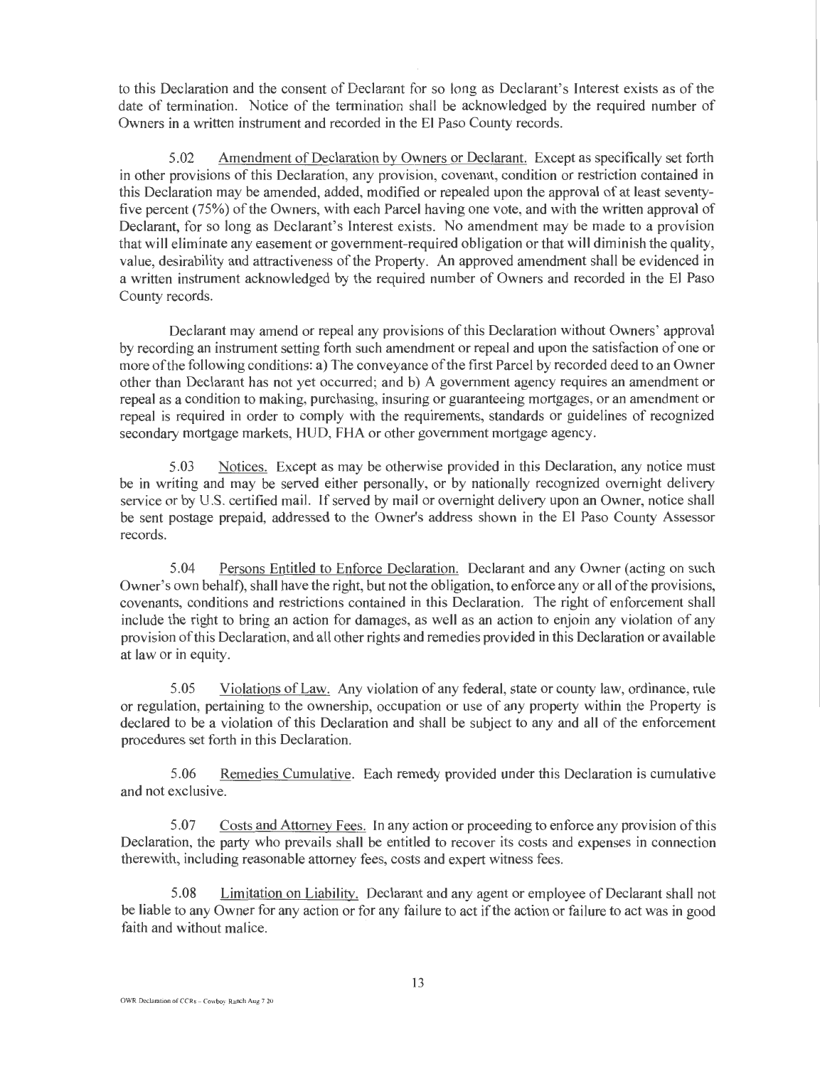to this Declaration and the consent of Declarant for so long as Declarant's Interest exists as of the date of termination. Notice of the termination shall be acknowledged by the required number of Owners in a written instrument and recorded in the El Paso County records.

5.02 Amendment of Declaration by Owners or Declarant. Except as specifically set forth in other provisions of this Declaration, any provision, covenant, condition or restriction contained in this Declaration may be amended, added, modified or repealed upon the approval of at least seventyfive percent (75%) of the Owners, with each Parcel having one vote, and with the written approval of Declarant, for so long as Declarant's Interest exists. No amendment may be made to a provision that will eliminate any easement or government-required obligation or that will diminish the quality, value, desirability and attractiveness of the Property. An approved amendment shall be evidenced in a written instrument acknowledged by the required number of Owners and recorded in the El Paso County records.

Declarant may amend or repeal any provisions of this Declaration without Owners' approval by recording an instrument setting forth such amendment or repeal and upon the satisfaction of one or more of the following conditions: a) The conveyance of the first Parcel by recorded deed to an Owner other than Declarant has not yet occurred; and b) A government agency requires an amendment or repeal as a condition to making, purchasing, insuring or guaranteeing mortgages, or an amendment or repeal is required in order to comply with the requirements, standards or guidelines of recognized secondary mortgage markets, HUD, FHA or other government mortgage agency.

5.03 Notices. Except as may be otherwise provided in this Declaration, any notice must be in writing and may be served either personally, or by nationally recognized overnight delivery service or by U.S. certified mail. If served by mail or overnight delivery upon an Owner, notice shall be sent postage prepaid, addressed to the Owner's address shown in the El Paso County Assessor records.

5.04 Persons Entitled to Enforce Declaration. Declarant and any Owner (acting on such Owner's own behalf), shall have the right, but not the obligation, to enforce any or all of the provisions, covenants, conditions and restrictions contained in this Declaration. The right of enforcement shall include the right to bring an action for damages, as well as an action to enjoin any violation of any provision of this Declaration, and all other rights and remedies provided in this Declaration or available at law or in equity.

5.05 Violations of Law. Any violation of any federal, state or county law, ordinance, rule or regulation, pertaining to the ownership, occupation or use of any property within the Property is declared to be a violation of this Declaration and shall be subject to any and all of the enforcement procedures set forth in this Declaration.

5.06 Remedies Cumulative. Each remedy provided under this Declaration is cumulative and not exclusive.

5.07 Costs and Attorney Fees. In any action or proceeding to enforce any provision of this Declaration, the party who prevails shall be entitled to recover its costs and expenses in connection therewith, including reasonable attorney fees, costs and expert witness fees.

5.08 Limitation on Liability. Declarant and any agent or employee of Declarant shall not be liable to any Owner for any action or for any failure to act if the action or failure to act was in good faith and without malice.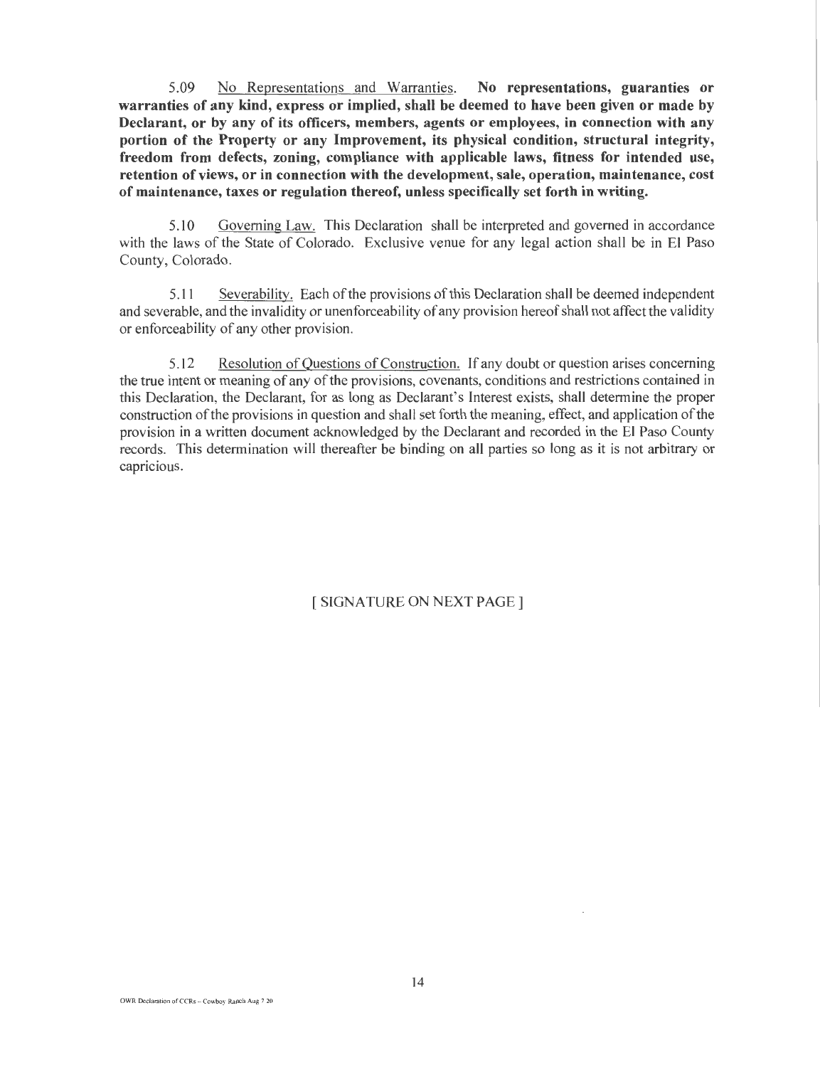5.09 No Representations and Warranties. No representations, guaranties or warranties of any kind, express or implied, shall be deemed to have been given or made by Declarant, or by any of its officers, members, agents or employees, in connection with any portion of the Property or any Improvement, its physical condition, structural integrity, freedom from defects, zoning, compliance with applicable laws, fitness for intended use, retention of views, or in connection with the development, sale, operation, maintenance, cost of maintenance, taxes or regulation thereof, unless specifically set forth in writing.

5.10 Governing Law. This Declaration shall be interpreted and governed in accordance with the laws of the State of Colorado. Exclusive venue for any legal action shall be in El Paso County, Colorado.

5.11 Severability. Each of the provisions of this Declaration shall be deemed independent and severable, and the invalidity or unenforceability of any provision hereof shall not affect the validity or enforceability of any other provision.

5.12 Resolution of Questions of Construction. If any doubt or question arises concerning the true intent or meaning of any of the provisions, covenants, conditions and restrictions contained in this Declaration, the Declarant, for as long as Declarant's Interest exists, shall determine the proper construction of the provisions in question and shall set forth the meaning, effect, and application of the provision in a written document acknowledged by the Declarant and recorded in the El Paso County records. This determination will thereafter be binding on all parties so long as it is not arbitrary or capricious.

[ SIGNATURE ON NEXT PAGE]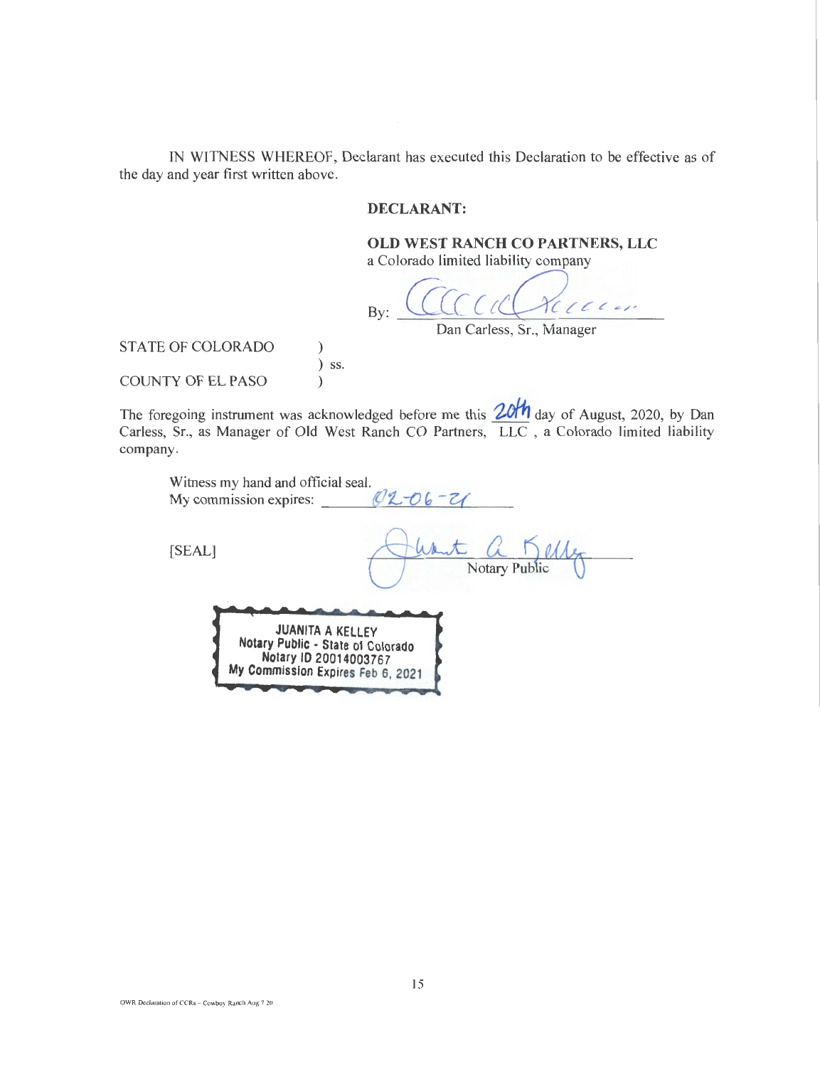IN WITNESS WHEREOF, Declarant has executed this Declaration to be effective as of the day and year first written above.

## DECLARANT:

## OLD WEST RANCH CO PARTNERS, LLC

a Colorado limited liability company

By: *Ciic* (fa C *c* " ' Dan Carless, Sr., Manager

STATE OF COLORADO )

COUNTY OF EL PASO )

The foregoing instrument was acknowledged before me this  $20<sup>th</sup>$  day of August, 2020, by Dan Carless, Sr., as Manager of Old West Ranch CO Partners, LLC , a Colorado limited liability company.

 $\int$  ss.

| Witness my hand and official seal.<br>My commission expires:                                                               | $02 - 06 - 21$ |
|----------------------------------------------------------------------------------------------------------------------------|----------------|
| [SEAL]                                                                                                                     | Notary Public  |
| <b>JUANITA A KELLEY</b><br>Notary Public - State of Colorado<br>Notary ID 20014003767<br>My Commission Expires Feb 6, 2021 |                |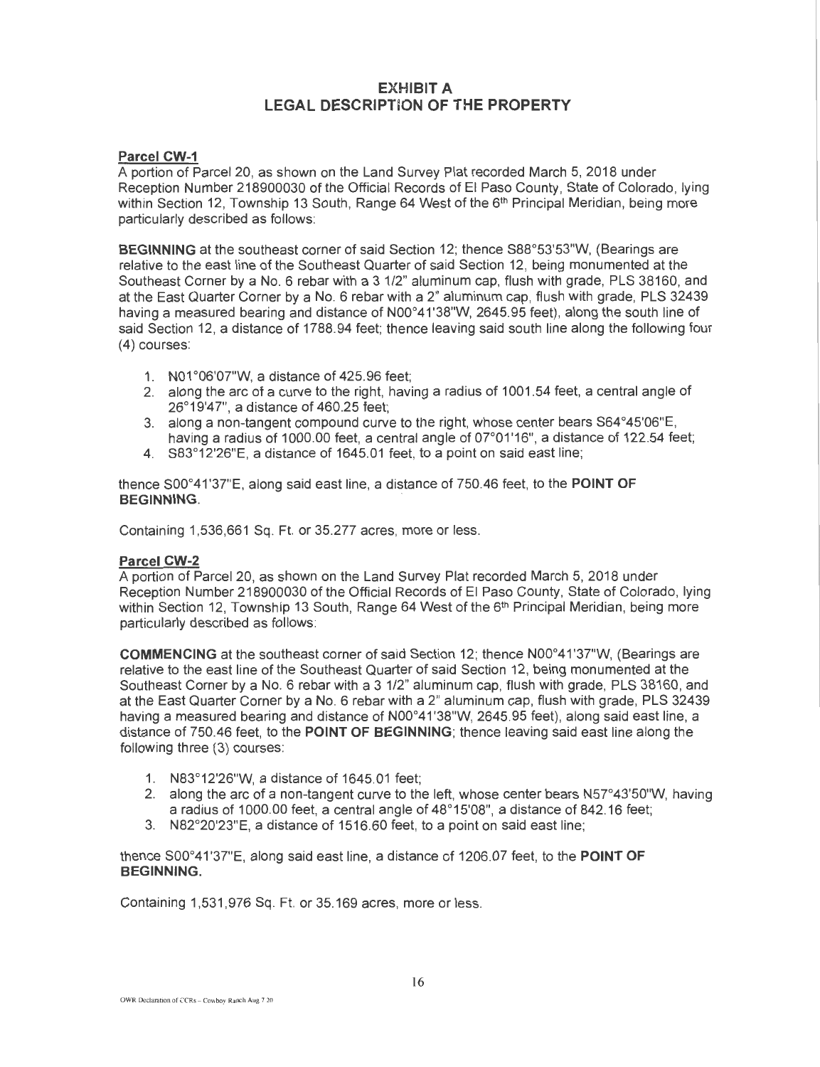## EXHIBIT A LEGAL DESCRIPTION OF THE PROPERTY

## Parcel CW-1

A portion of Parcel 20, as shown on the Land Survey Plat recorded March 5, 2018 under Reception Number 218900030 of the Official Records of El Paso County, State of Colorado, lying within Section 12, Township 13 South, Range 64 West of the 6<sup>th</sup> Principal Meridian, being more particularly described as follows:

BEGINNING at the southeast corner of said Section 12; thence S88°53'53"W, (Bearings are relative to the east line of the Southeast Quarter of said Section 12, being monumented at the Southeast Corner by a No.6 rebar with a 3 1/2" aluminum cap, flush with grade, PLS 38160, and at the East Quarter Corner by a No. 6 rebar with a 2" aluminum cap, flush with grade, PLS 32439 having a measured bearing and distance of N00°41'38"W, 2645.95 feet), along the south line of said Section 12, a distance of 1788.94 feet; thence leaving said south line along the following four (4) courses:

- 1. N01 °06'07"W, a distance of 425.96 feet;
- 2. along the arc of a curve to the right, having a radius of 1001.54 feet, a central angle of 26°19'47", a distance of 460.25 feet:
- 3. along a non-tangent compound curve to the right, whose center bears S64°45'06"E, having a radius of 1000.00 feet, a central angle of 07°01'16", a distance of 122.54 feet:
- 4. S83°12'26"E, a distance of 1645.01 feet, to a point on said east line;

thence S00°41'37"E, along said east line, a distance of 750.46 feet, to the POINT OF BEGINNING. .

Containing 1,536,661 Sq. Ft. or 35.277 acres, more or less.

### Parcel CW-2

A portion of Parcel20, as shown on the Land Survey Plat recorded March 5, 2018 under Reception Number 218900030 of the Official Records of El Paso County, State of Colorado, lying within Section 12, Township 13 South, Range 64 West of the 6<sup>th</sup> Principal Meridian, being more particularly described as follows:

COMMENCING at the southeast corner of said Section 12; thence N00°41'37"W, (Bearings are relative to the east line of the Southeast Quarter of said Section 12, being monumented at the Southeast Corner by a No. 6 rebar with a 3 1/2" aluminum cap, flush with grade, PLS 38160, and at the East Quarter Corner by a No. 6 rebar with a 2" aluminum cap, flush with grade, PLS 32439 having a measured bearing and distance of N00°41'38"W, 2645.95 feet), along said east line, a distance of 750.46 feet, to the POINT OF BEGINNING; thence leaving said east line along the following three (3) courses:

- 1. N83°12'26"W, a distance of 1645.01 feet;
- 2. along the arc of a non-tangent curve to the left, whose center bears  $N57^{\circ}43'50''W$ , having a radius of 1000.00 feet, a central angle of 48°15'08", a distance of 842.16 feet;
- 3. N82°20'23"E, a distance of 1516.60 feet, to a point on said east line;

thence S00°41 '37"E, along said east line, a distance of 1206.07 feet, to the POINT OF BEGINNING.

Containing 1,531,976 Sq. Ft. or 35.169 acres, more or less.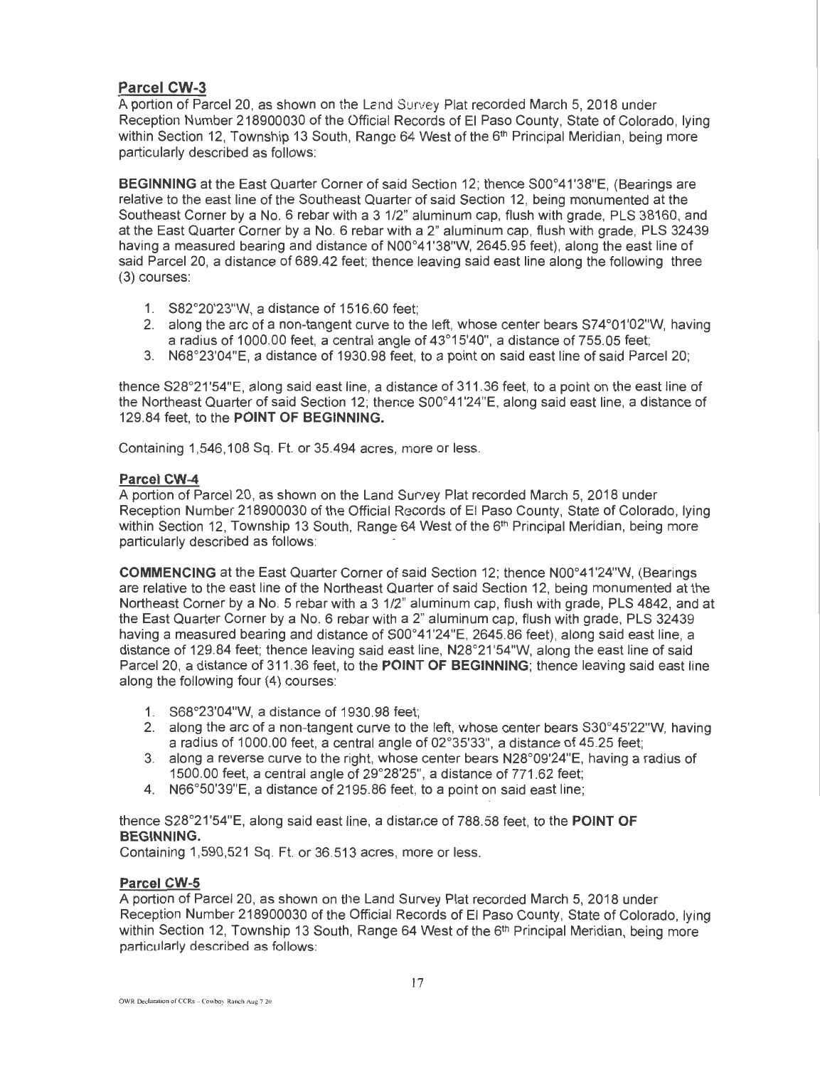## **Parcel CW-3**

A portion of Parcel 20, as shown on the Lend Survey Plat recorded March 5, 2018 under Reception Number 218900030 of the Official Records of El Paso County, State of Colorado, lying within Section 12, Township 13 South, Range 64 West of the 6<sup>th</sup> Principal Meridian, being more particularly described as follows:

**BEGINNING** at the East Quarter Corner of said Section 12; thence S00°41'38"E, (Bearings are relative to the east line of the Southeast Quarter of said Section 12, being monumented at the Southeast Corner by a No. 6 rebar with a 3 1/2" aluminum cap, flush with grade, PLS 38160, and at the East Quarter Corner by a No. 6 rebar with a 2" aluminum cap, flush with grade, PLS 32439 having a measured bearing and distance of N00°41 '38"W, 2645.95 feet), along the east line of said Parcel 20, a distance of 689.42 feet; thence leaving said east line along the following three (3) courses:

- 1. S82°20'23"W, a distance of 1516.60 feet;
- 2. along the arc of a non-tangent curve to the left, whose center bears S74°01 '02"W, having a radius of 1000.00 feet, a central angle of 43°15'40", a distance of 755.05 feet;
- 3. N68°23'04"E, a distance of 1930.98 feet, to a point on said east line of said Parcel 20;

thence S28°21'54" E. along said east line, a distance of 311.36 feet, to a point on the east line of the Northeast Quarter of said Section 12; thence S00°41 '24"E, along said east line, a distance of 129.84 feet, to the **POINT OF BEGINNING.** 

Containing 1,546, 108 Sq. Ft. or 35.494 acres, more or less.

## **Parcel CW-4**

A portion of Parcel 20, as shown on the Land Survey Plat recorded March 5, 2018 under Reception Number 218900030 of the Official Records of El Paso County, State of Colorado, lying within Section 12, Township 13 South, Range 64 West of the 6<sup>th</sup> Principal Meridian, being more particularly described as follows:

**COMMENCING** at the East Quarter Corner of said Section 12; thence N00°41'24"W, (Bearings are relative to the east line of the Northeast Quarter of said Section 12, being monumented at the Northeast Corner by a No. 5 rebar with a 3 1/2" aluminum cap, flush with grade, PLS 4842, and at the East Quarter Corner by a No. 6 rebar with a 2" aluminum cap, flush with grade, PLS 32439 having a measured bearing and distance of S00°41'24"E, 2645.86 feet), along said east line, a distance of 129.84 feet; thence leaving said east line, N28°21'54"W, along the east line of said Parcel 20, a distance of 311 .36 feet, to the **POINT OF BEGINNING;** thence leaving said east line along the following four (4) courses:

- 1. S68°23'04"W, a distance of 1930.98 feet;
- 2. along the arc of a non-tangent curve to the left, whose center bears  $S30^{\circ}45'22''W$ , having a radius of 1000.00 feet, a central angle of 02°35'33", a distance of 45.25 feet;
- 3. along a reverse curve to the right, whose center bears N28°09'24"E, having a radius of 1500.00 feet, a central angle of 29°28'25", a distance of 771 .62 feet;
- 4. N66°50'39"E, a distance of 2195.86 feet, to a point on said east line;

thence S28°21'54"E, along said east line, a distance of 788.58 feet, to the **POINT OF BEGINNING.** 

Containing 1,590,521 Sq. Ft. or 36.513 acres, more or less.

## **Parcel CW-5**

A portion of Parcel 20, as shown on the Land Survey Plat recorded March 5, 2018 under Reception Number 218900030 of the Official Records of El Paso County, State of Colorado, lying within Section 12, Township 13 South, Range 64 West of the 6<sup>th</sup> Principal Meridian, being more particularly described as follows: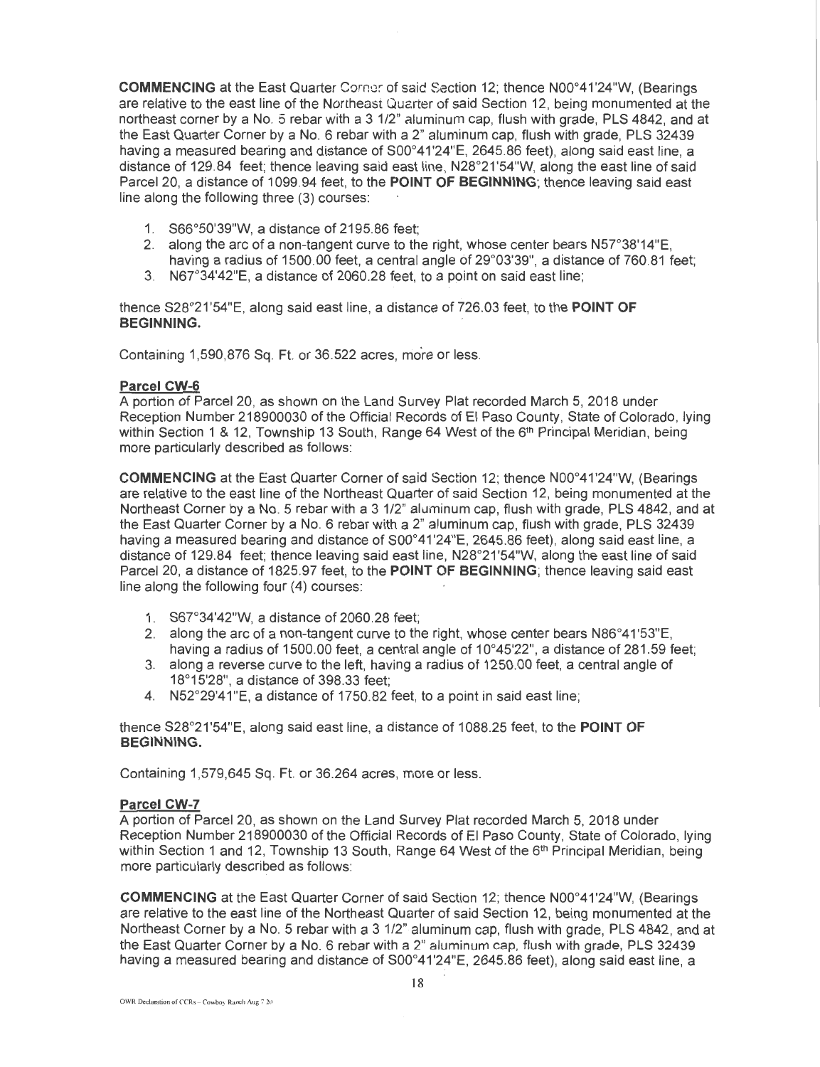**COMMENCING** at the East Quarter Corner of said Section 12; thence N00°41'24"W, (Bearings are relative to the east line of the Northeast Quarter of said Section 12, being monumented at the northeast corner by a No. 5 rebar with a 3 1/2" aluminum cap, flush with grade, PLS 4842, and at the East Quarter Corner by a No. 6 rebar with a 2" aluminum cap, flush with grade, PLS 32439 having a measured bearing and distance of S00°41'24"E, 2645.86 feet), along said east line, a distance of 129.84 feet; thence leaving said east line, N28°21'54"W, along the east line of said Parcel 20, a distance of 1099.94 feet, to the **POINT OF BEGINNING;** thence leaving said east line along the following three (3) courses:

- 1. S66°50'39"W, a distance of 2195.86 feet;
- 2. along the arc of a non-tangent curve to the right, whose center bears N57°38'14"E, having a radius of 1500.00 feet, a central angle of 29°03'39", a distance of 760.81 feet;
- 3. N67°34'42"E, a distance of 2060.28 feet, to a point on said east line;

thence S28°21 '54"E, along said east line, a distance of 726.03 feet, to the **POINT OF BEGINNING.** .

Containing 1,590,876 Sq. Ft. or 36,522 acres, more or less.

#### **Parcel CW-6**

A portion of Parcel 20, as shown on the Land Survey Plat recorded March 5, 2018 under Reception Number 218900030 of the Official Records of El Paso County, State of Colorado, lying within Section 1 & 12, Township 13 South, Range 64 West of the 6<sup>th</sup> Principal Meridian, being more particularly described as follows:

**COMMENCING** at the East Quarter Corner of said Section 12; thence N00°41'24"W, (Bearings are relative to the east line of the Northeast Quarter of said Section 12, being monumented at the Northeast Corner by a No. 5 rebar with a 3 1/2" aluminum cap, flush with grade, PLS 4842, and at the East Quarter Corner by a No. 6 rebar with a 2" aluminum cap, flush with grade, PLS 32439 having a measured bearing and distance of S00°41'24"E, 2645.86 feet), along said east line, a distance of 129.84 feet; thence leaving said east line, N28°21'54"W, along the east line of said Parcel 20, a distance of 1825.97 feet, to the **POINT OF BEGINNING;** thence leaving said east line along the following four (4) courses:

- 1. S67°34'42"W, a distance of 2060.28 feet;
- 2. along the arc of a non-tangent curve to the right, whose center bears N86°41'53"E, having a radius of 1500.00 feet, a central angle of 10°45'22", a distance of 281.59 feet;
- 3. along a reverse curve to the left, having a radius of 1250.00 feet, a central angle of 18°15'28", a distance of 398.33 feet;
- 4. N52°29'41"E, a distance of 1750.82 feet, to a point in said east line;

thence S28°21'54"E, along said east line, a distance of 1088.25 feet, to the **POINT OF BEGINNING.** 

Containing 1,579,645 Sq. Ft. or 36.264 acres, more or less.

### **Parcel CW-7**

A portion of Parcel20, as shown on the Land Survey Plat recorded March 5, 2018 under Reception Number 218900030 of the Official Records of El Paso County, State of Colorado, lying within Section 1 and 12, Township 13 South, Range 64 West of the 6<sup>th</sup> Principal Meridian, being more particularly described as follows:

**COMMENCING** at the East Quarter Corner of said Section 12; thence N00°41'24"W, (Bearings are relative to the east line of the Northeast Quarter of said Section 12, being monumented at the Northeast Corner by a No. 5 rebar with a 3 1/2" aluminum cap, flush with grade, PLS 4842, and at the East Quarter Corner by a No. 6 rebar with a 2" aluminum cap, flush with grade, PLS 32439 having a measured bearing and distance of S00°41'24"E, 2645.86 feet), along said east line, a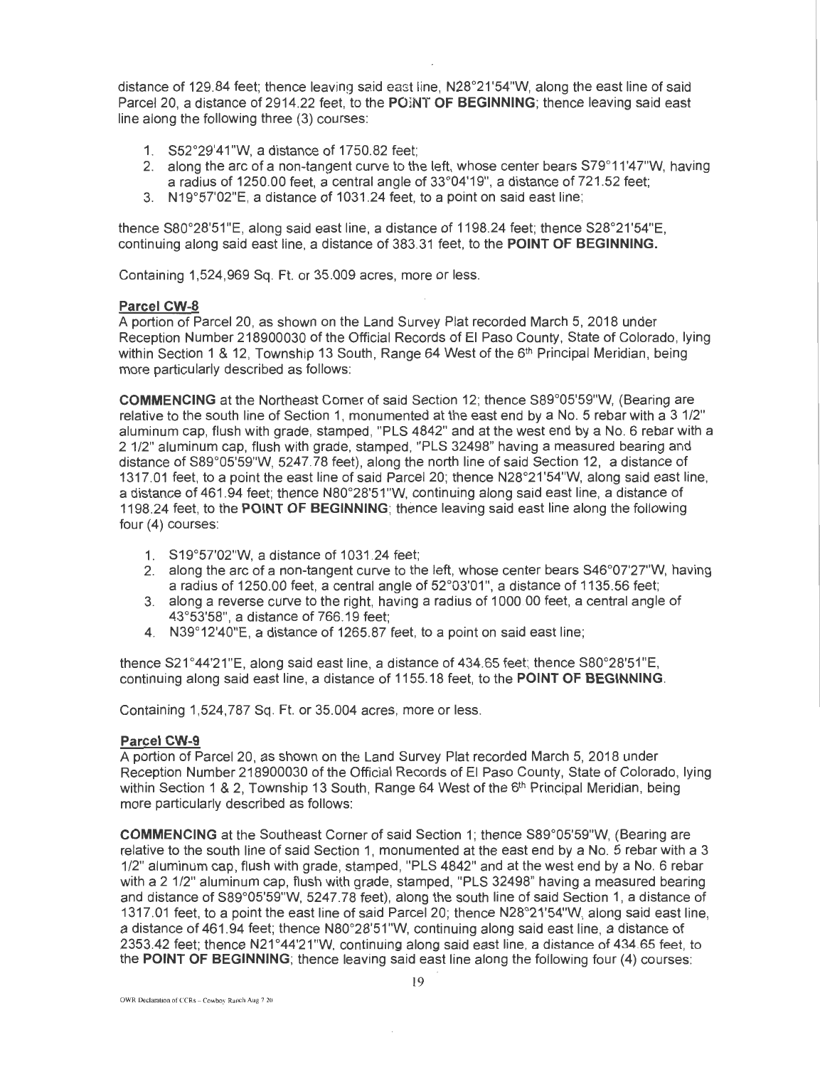distance of 129.84 feet; thence leaving said east line, N28°21'54"W, along the east line of said Parcel 20, a distance of 2914.22 feet, to the POINT OF BEGINNING; thence leaving said east line along the following three (3) courses:

- 1. S52°29'41 "W, a distance of 1750.82 feet;
- 2. along the arc of a non-tangent curve to the left, whose center bears S79°11'47"W, having a radius of 1250.00 feet, a central angle of 33°04'19", a distance of 721 .52 feet;
- 3. N 19°57'02"E, a distance of 1031 .24 feet, to a point on said east line;

thence S80°28'51"E, along said east line, a distance of 1198.24 feet; thence S28°21'54"E, continuing along said east line, a distance of 383.31 feet, to the **POINT OF BEGINNING.** 

Containing 1,524,969 Sq. Ft. or 35.009 acres, more or less.

#### **Parcel CW-8**

A portion of Parcel 20, as shown on the Land Survey Plat recorded March 5, 2018 under Reception Number 218900030 of the Official Records of El Paso County, State of Colorado, lying within Section 1 & 12, Township 13 South, Range 64 West of the 6<sup>th</sup> Principal Meridian, being more particularly described as follows:

**COMMENCING** at the Northeast Corner of said Section 12; thence S89°05'59"W, (Bearing are relative to the south line of Section 1, monumented at the east end by a No. 5 rebar with a 3 1/2" aluminum cap, flush with grade, stamped, "PLS 4842" and at the west end by a No. 6 rebar with a 2 1/2" aluminum cap, flush with grade, stamped , "PLS 32498" having a measured bearing and distance of S89°05'59"W, 5247.78 feet), along the north line of said Section 12, a distance of 1317.01 feet, to a point the east line of said Parcel 20; thence N28°21'54"W, along said east line, a distance of 461.94 feet; thence N80°28'51"W, continuing along said east line, a distance of 1198.24 feet, to the **POINT OF BEGINNING;** thence leaving said east line along the following four (4) courses:

- 1. S19°57'02"W, a distance of 1031 .24 feet;
- 2. along the arc of a non-tangent curve to the left, whose center bears S46°07'27"W, having a radius of 1250.00 feet, a central angle of 52°03'01", a distance of 1135.56 feet;
- 3. along a reverse curve to the right, having a radius of 1000.00 feet, a central angle of 43°53'58", a distance of 766.19 feet;
- 4. N39°12'40"E, a distance of 1265.87 feet, to a point on said east line;

thence S21 °44'21"E, along said east line, a distance of 434.65 feet; thence S80°28'51"E, continuing along said east line, a distance of 1155.18 feet, to the **POINT OF BEGINNING.** 

Containing 1,524,787 Sq. Ft. or 35.004 acres, more or less.

### **Parcel CW-9**

A portion of Parcel 20, as shown on the Land Survey Plat recorded March 5, 2018 under Reception Number 218900030 of the Official Records of El Paso County, State of Colorado, lying within Section 1 & 2, Township 13 South, Range 64 West of the 6<sup>th</sup> Principal Meridian, being more particularly described as follows:

**COMMENCING** at the Southeast Corner of said Section 1; thence S89°05'59"W, (Bearing are relative to the south line of said Section 1, monumented at the east end by a No. 5 rebar with a 3 1/2" aluminum cap, flush with grade, stamped, "PLS 4842" and at the west end by a No. 6 rebar with a 2 1/2" aluminum cap, flush with grade, stamped, "PLS 32498" having a measured bearing and distance of S89°05'59"W, 5247.78 feet}, along the south line of said Section 1, a distance of 1317.01 feet, to a point the east line of said Parcel20; thence N28°21'54"W, along said east line, a distance of 461.94 feet; thence N80°28'51"W, continuing along said east line, a distance of 2353.42 feet; thence N21 °44'21"W. continuing along said east line, a distance of 434.65 feet, to the **POINT OF BEGINNING;** thence leaving said east line along the following four (4) courses: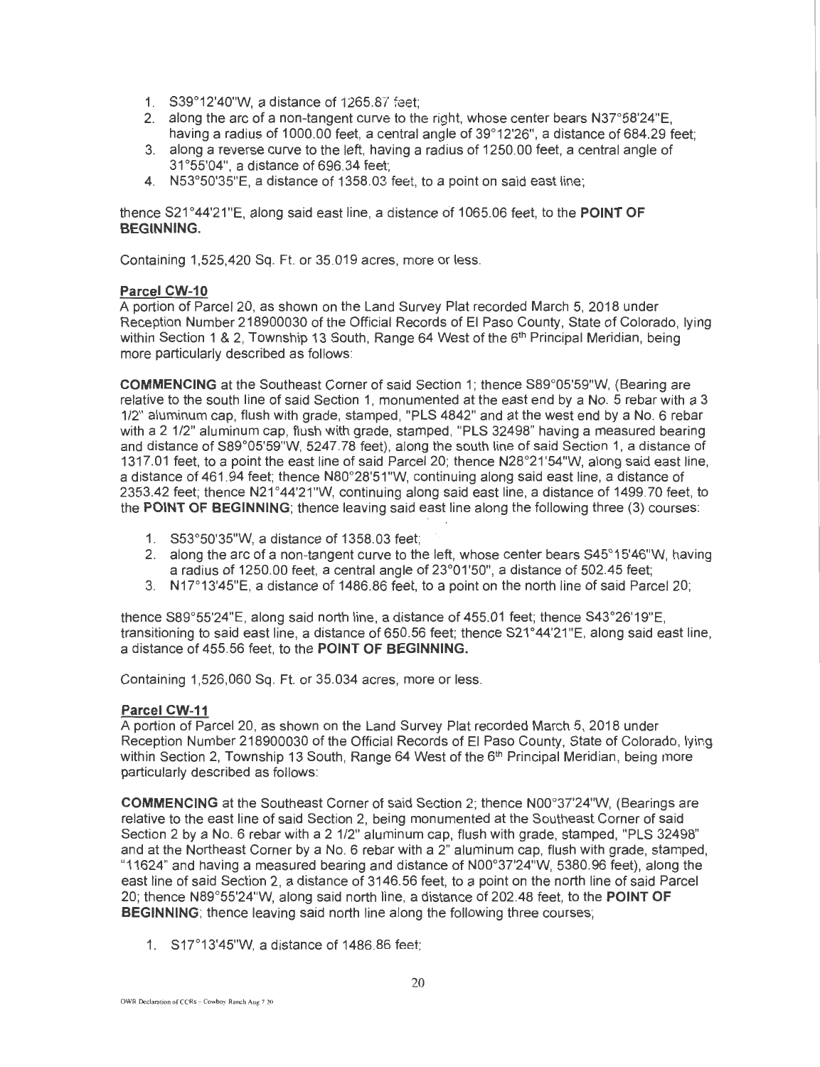- 1. S39°12'40"W, a distance of 1265.87 feet;
- 2. along the arc of a non-tangent curve to the right, whose center bears  $N37^{\circ}58'24''E$ , having a radius of 1000.00 feet, a central angle of 39°12'26", a distance of 684.29 feet;
- 3. along a reverse curve to the left, having a radius of 1250.00 feet, a central angle of 31 °55'04", a distance of696.34 feet;
- 4. N53°50'35"E, a distance of 1358.03 feet, to a point on said east line;

thence S21 °44'21"E, along said east line, a distance cit 1065.06 feet, to the **POINT OF BEGINNING.** 

Containing 1,525,420 Sq. Ft. or 35.019 acres, more or less.

### **Parcel CW-10**

A portion of Parcel 20, as shown on the Land Survey Plat recorded March 5, 2018 under Reception Number 218900030 of the Official Records of El Paso County, State of Colorado, lying within Section 1 & 2, Township 13 South, Range 64 West of the 6<sup>th</sup> Principal Meridian, being more particularly described as follows:

**COMMENCING** at the Southeast Corner of said Section 1; thence S89°05'59"W, (Bearing are relative to the south line of said Section 1, monumented at the east end by a No. 5 rebar with a 3 1/2" aluminum cap, flush with grade, stamped, "PLS 4842" and at the west end by a No. 6 rebar with a 2 1/2" aluminum cap, flush with grade, stamped, "PLS 32498" having a measured bearing and distance of S89°05'59"W, 5247.78 feet), along the south line of said Section 1, a distance of 1317.01 feet, to a point the east line of said Parcel20; thence N28°21'54"W, along said east line, a distance of 461.94 feet; thence N80°28'51 "W, continuing along said east line, a distance of 2353.42 feet; thence N21°44'21"W, continuing along said east line, a distance of 1499.70 feet, to the **POINT OF BEGINNING;** thence leaving said east line along the following three (3) courses:

- 1. S53°50'35"W, a distance of 1358.03 feet;
- 2. along the arc of a non-tangent curve to the left, whose center bears S45°15'46"W, having a radius of 1250.00 feet, a central angle of 23°01'50", a distance of 502.45 feet;
- 3. N17"13'45"E, a distance of 1486.86 feet, to a point on the north line of said Parcel 20;

thence S89°55'24"E, along said north line, a distance of 455.01 feet; thence S43°26'19"E, transitioning to said east line, a distance of 650.56 feet; thence S21°44'21"E, along said east line, a distance of 455.56 feet, to the **POINT OF BEGINNING.** 

Containing 1,526,060 Sq. Ft. or 35.034 acres, more or less.

### **Parcel CW-11**

A portion of Parcel 20, as shown on the Land Survey Plat recorded March 5, 2018 under Reception Number 218900030 of the Official Records of El Paso County, State of Colorado, lying within Section 2, Township 13 South, Range 64 West of the 6<sup>th</sup> Principal Meridian, being more particularly described as follows:

**COMMENCING** at the Southeast Corner of said Section 2; thence N00°37'24"W, (Bearings are relative to the east line of said Section 2, being monumented at the Southeast Corner of said Section 2 by a No.6 rebar with a 2 1/2" aluminum cap, flush with grade, stamped, "PLS 32498" and at the Northeast Corner by a No. 6 rebar with a 2" aluminum cap, flush with grade, stamped, "11624" and having a measured bearing and distance of N00°37'24"W, 5380.96 feet), along the east line of said Section 2, a distance of 3146.56 feet, to a point on the north line of said Parcel 20; thence N89°55'24"W, along said north line, a distance of 202.48 feet, to the **POINT OF BEGINNING**; thence leaving said north line along the following three courses:

1. S17"13'45"W. a distance of 1486.86 feet;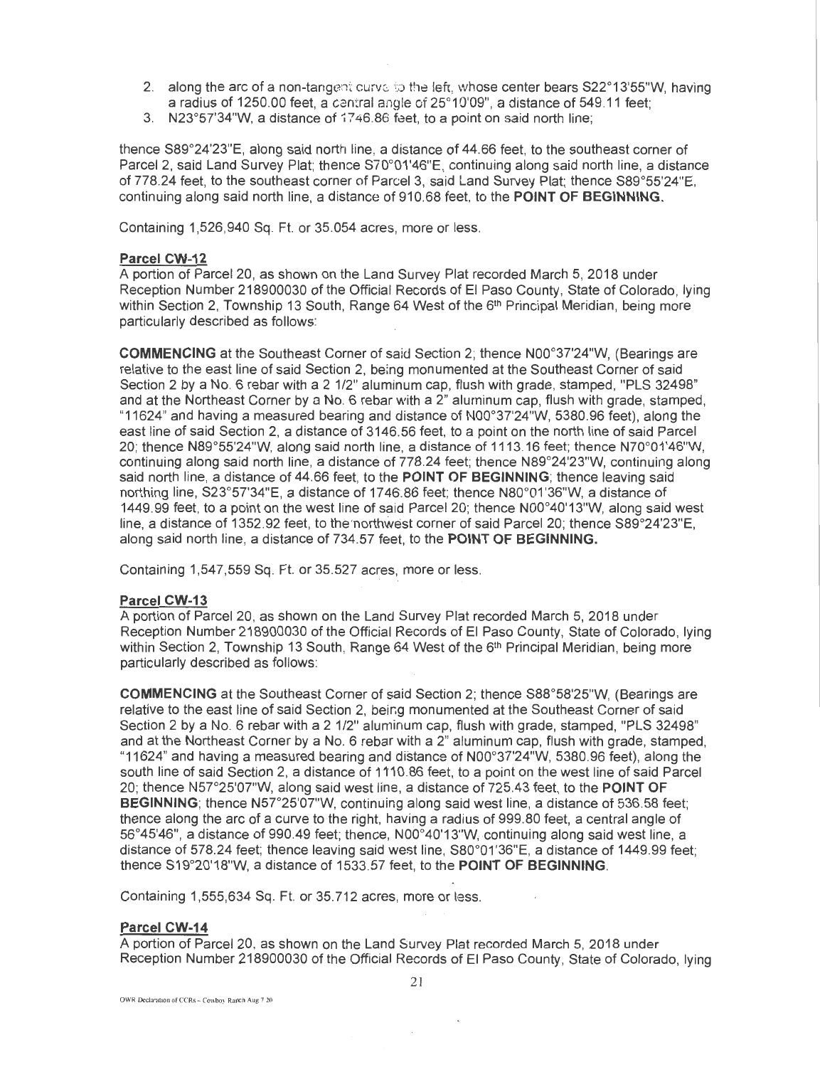- 2. along the arc of a non-tangent curve to the left, whose center bears S22°13'55"W, having a radius of 1250.00 feet, a central angle of 25°10'09", a distance of 549.11 feet;
- 3. N23°57'34"W, a distance of 17 46.86 feet, to a point on said north line;

thence S89°24'23"E, along said north line, a distance of 44.66 feet, to the southeast corner of Parcel 2, said Land Survey Plat; thence S70°01'46"E, continuing along said north line, a distance of 778.24 feet, to the southeast corner of Parcel 3, said Land Survey Plat; thence S89°55'24"E, continuing along said north line, a distance of 910.68 feet, to the **POINT OF BEGINNING.** 

Containing 1,526,940 Sq. Ft. or 35.054 acres, more or less.

### **Parcel CW-12**

A portion of Parcel 20, as shown on the Land Survey Plat recorded March 5, 2018 under Reception Number 218900030 of the Official Records of El Paso County, State of Colorado, lying within Section 2, Township 13 South, Range 64 West of the 6<sup>th</sup> Principal Meridian, being more particularly described as follows:

**COMMENCING** at the Southeast Corner of said Section 2; thence N00°37'24"W, (Bearings are relative to the east line of said Section 2, being monumented at the Southeast Corner of said Section 2 by a No. 6 rebar with a 2 1/2" aluminum cap, flush with grade, stamped, "PLS 32498" and at the Northeast Corner by a No. 6 rebar with a 2" aluminum cap, flush with grade, stamped, "11624" and having a measured bearing and distance of N00°37'24"W, 5380.96 feet), along the east line of said Section 2, a distance of 3146.56 feet, to a point on the north line of said Parcel 20; thence N89°55'24"W, along said north line, a distance of 1113.16 feet; thence N70°01 '46"W, continuing along said north line, a distance of 778.24 feet; thence N89°24'23"W, continuing along said north line, a distance of 44.66 feet, to the **POINT OF BEGINNING;** thence leaving said northing line, S23°57'34"E, a distance of 1746.86 feet; thence N80°01'36"W, a distance of 1449.99 feet, to a point on the west line of said Parcel 20; thence N00°40'13"W, along said west line, a distance of 1352.92 feet, to the northwest corner of said Parcel 20; thence S89°24'23"E, along said north line, a distance of 734.57 feet, to the **POINT OF BEGINNING.** 

Containing 1,547,559 Sq. Ft. or 35.527 acres, more or less.

#### **Parcel CW-13**

A portion of Parcel 20, as shown on the Land Survey Plat recorded March 5, 2018 under Reception Number 218900030 of the Official Records of El Paso County, State of Colorado, lying within Section 2, Township 13 South, Range 64 West of the 6<sup>th</sup> Principal Meridian, being more particularly described as follows:

**COMMENCING** at the Southeast Corner of said Section 2; thence S88°58'25"W, (Bearings are relative to the east line of said Section 2, beir.g monumented at the Southeast Corner of said Section 2 by a No. 6 rebar with a 2 1/2" aluminum cap, flush with grade, stamped, "PLS 32498" and at the Northeast Corner by a No. 6 rebar with a 2" aluminum cap, flush with grade, stamped, "11624" and having a measured bearing and distance of N00°37'24"W, 5380.96 feet), along the south line of said Section 2, a distance of 1110.86 feet, to a point on the west line of said Parcel 20; thence N5r25'07"W, along said west line, a distance of 725.43 feet, to the **POINT OF BEGINNING;** thence N5r25'07"W, continuing along said west line, a distance of 536.58 feet; thence along the arc of a curve to the right, having a radius of 999.80 feet, a central angle of 56°45'46", a distance of 990.49 feet; thence, N00°40'13"W, continuing along said west line, a distance of 578.24 feet; thence leaving said west line, S80°01'36"E, a distance of 1449.99 feet; thence S19°20'18"W, a distance of 1533.57 feet, to the **POINT OF BEGINNING.** 

Containing 1,555,634 Sq. Ft. or 35.712 acres, more or less.

#### **Parcel CW-14**

A portion of Parcel 20. as shown on the Land Survey Plat recorded March 5, 2018 under Reception Number 218900030 of the Official Records of El Paso County, State of Colorado, lying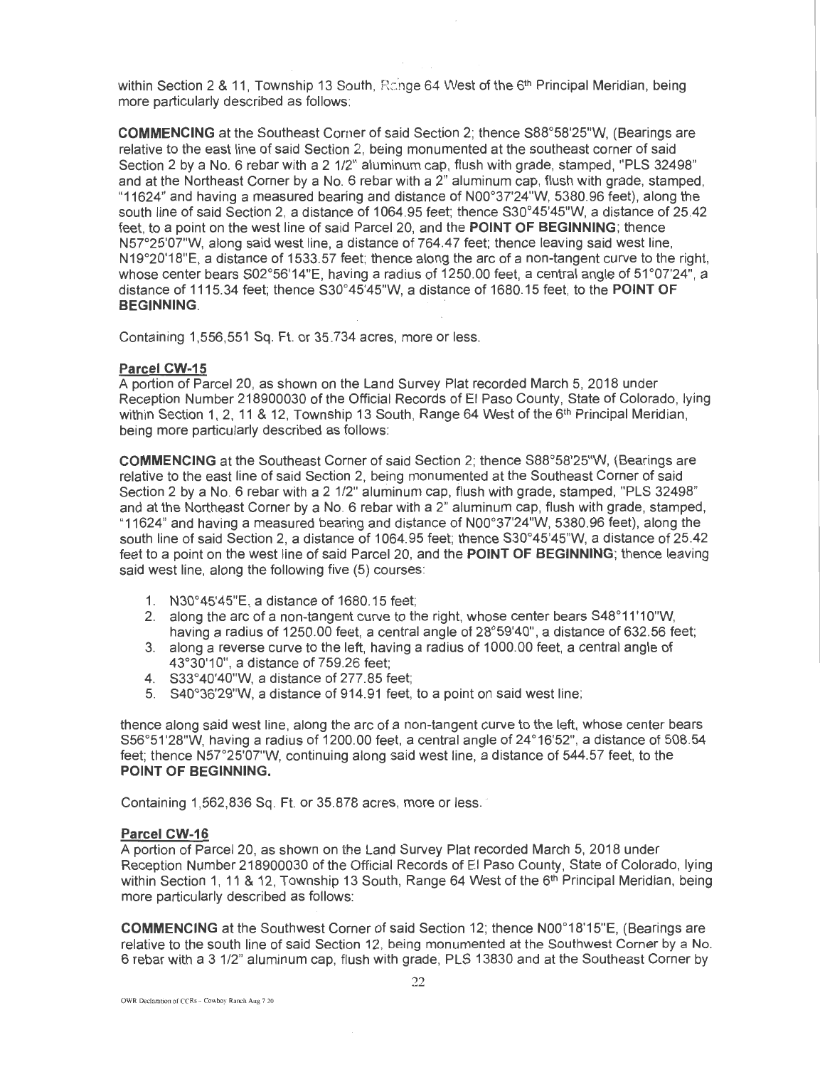within Section 2 & 11. Township 13 South, Range 64 West of the  $6<sup>th</sup>$  Principal Meridian, being more particularly described as follows:

COMMENCING at the Southeast Corner of said Section 2; thence S88°58'25"W, (Bearings are relative to the east line of said Section 2, being monumented at the southeast corner of said Section 2 by a No. 6 rebar with a 2 1/2" aluminum cap, flush with grade, stamped, "PLS 32498" and at the Northeast Corner by a No. 6 rebar with a 2" aluminum cap, flush with grade, stamped, "11624" and having a measured bearing and distance of N00°37'24"W, 5380.96 feet}, along the south line of said Section 2, a distance of 1064.95 feet; thence S30°45'45"W, a distance of 25.42 feet, to a point on the west line of said Parcel 20, and the POINT OF BEGINNING; thence N57°25'07"W, along said west line, a distance of 764.4 7 feet; thence leaving said west line, N19°20'18"E, a distance of 1533.57 feet; thence along the arc of a non-tangent curve to the right, whose center bears S02°56'14"E, having a radius of 1250.00 feet, a central angle of 51°07'24", a distance of 1115.34 feet; thence S30°45'45"W, a distance of 1680.15 feet, to the POINT OF BEGINNING.

Containing 1,556,551 Sq. Ft. or 35.734 acres, more or less.

#### Parcel CW-15

A portion of Parcel 20, as shown on the Land Survey Plat recorded March 5, 2018 under Reception Number 218900030 of the Official Records of El Paso County, State of Colorado, lying within Section 1, 2, 11 & 12, Township 13 South, Range 64 West of the 6<sup>th</sup> Principal Meridian, being more particularly described as follows:

COMMENCING at the Southeast Corner of said Section 2; thence S88°58'25"W, (Bearings are relative to the east line of said Section 2, being monumented at the Southeast Corner of said Section 2 by a No. 6 rebar with a 2 1/2" aluminum cap, flush with grade, stamped, "PLS 32498" and at the Northeast Corner by a No. 6 rebar with a 2" aluminum cap, flush with grade, stamped, "11624" and having a measured bearing and distance of N00°37'24"W, 5380.96 feet}, along the south line of said Section 2, a distance of 1064.95 feet; thence S30°45'45"W, a distance of 25.42 feet to a point on the west line of said Parcel 20, and the POINT OF BEGINNING; thence leaving said west line, along the following five (5) courses:

- 1. N30°45'45"E, a distance of 1680.15 feet:
- 2. along the arc of a non-tangent curve to the right, whose center bears S48°11'10"W, having a radius of 1250.00 feet, a central angle of 28°59'40", a distance of 632.56 feet;
- 3. along a reverse curve to the left, having a radius of 1000.00 feet, a central angle of 43°30'10", a distance of759.26 feet;
- 4. S33°40'40"W, a distance of 277.85 feet;
- 5. S40°36'29"W, a distance of 914.91 feet, to a point on said west line;

thence along said west line, along the arc of a non-tangent curve to the left, whose center bears S56°51'28"W, having a radius of 1200.00 feet, a central angle of 24°16'52", a distance of 508.54 feet; thence N57°25'07"W, continuing along said west line, a distance of 544.57 feet, to the POINT OF BEGINNING.

Containing 1,562,836 Sq. Ft. or 35.878 acres, more or less.

#### Parcel CW-16

A portion of Parcel 20, as shown on the Land Survey Plat recorded March 5, 2018 under Reception Number 218900030 of the Official Records of El Paso County, State of Colorado, lying within Section 1, 11 & 12, Township 13 South, Range 64 West of the 6<sup>th</sup> Principal Meridian, being more particularly described as follows:

COMMENCING at the Southwest Corner of said Section 12; thence N00°18'15"E, (Bearings are relative to the south line of said Section 12, being monumented at the Southwest Corner by a No. 6 rebar with a 3 1/2" aluminum cap, flush with grade, PLS 13830 and at the Southeast Corner by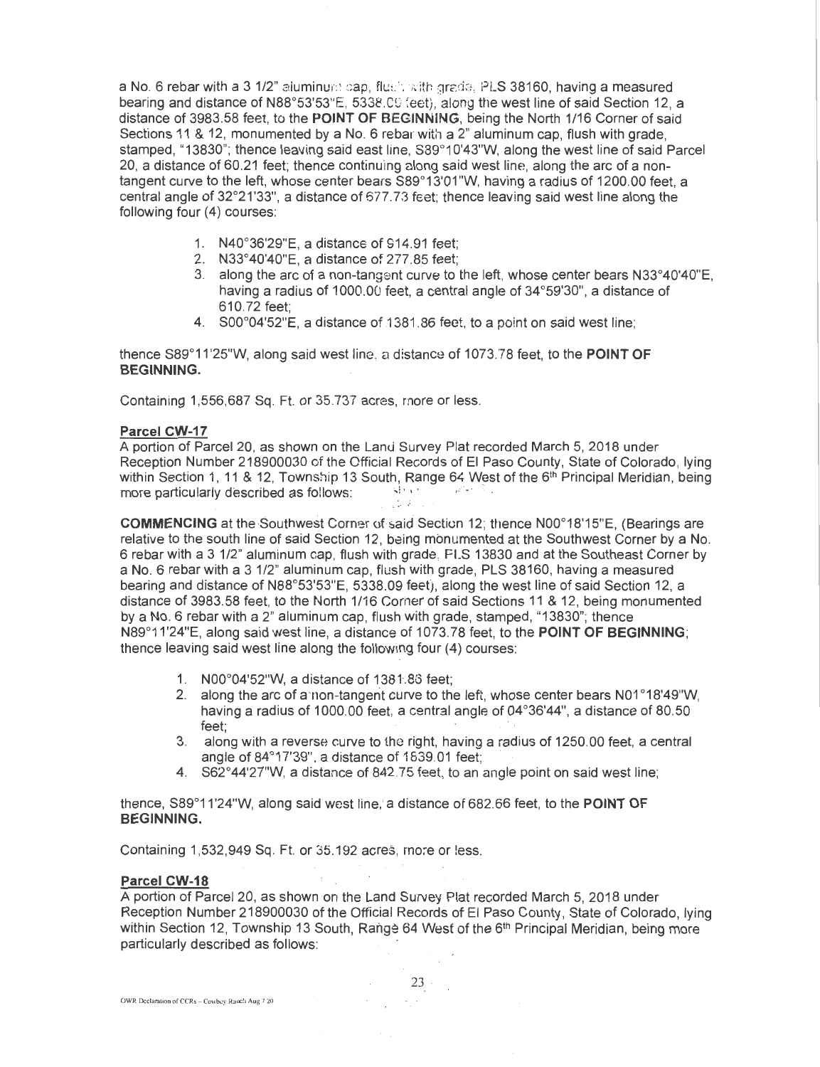a No. 6 rebar with a 3 1/2" aluminum cap, flush with grade. PLS 38160, having a measured bearing and distance of N88°53'53"E, 5338.00 feet), along the west line of said Section 12, a distance of 3983.58 feet, to the **POINT OF** BEGINNING, being the North 1/16 Corner of said Sections 11 & 12, monumented by a No. 6 rebar with a 2" aluminum cap, flush with grade, stamped, "13830"; thence leaving said east line, S89°1 0'43"W, along the west line of said Parcel 20, a distance of 60.21 feet; thence continuing along said west line, along the arc of a nontangent curve to the left, whose center bears S89°13'01"W, having a radius of 1200.00 feet, a central angle of 32°21 '33", a distance of 677.73 feet; thence leaving said west line along the following four (4) courses:

- 1. N40°36'29"E, a distance of 914.91 feet;
- 2. N33°40'40"E, a distance of 277.85 feet;
- 3. along the arc of a non-tangent curve to the left, whose center bears N33°40'40"E, having a radius of 1000.00 feet, a central angle of 34°59'30", a distance of 610.72 feet;
- 4. S00°04'52"E, a distance of 1381.86 feet, to a point on said west line;

thence S89°11'25"W, along said west line, a distance of 1073.78 feet, to the **POINT OF BEGINNING.** 

Containing 1,556,687 Sq. Ft. or 35.737 acres, more or less.

#### **Parcel CW-17**

A portion of Parcel 20, as shown on the Lanti Survey Plat recorded March 5, 2018 under Reception Number 218900030 of the Official Records of El Paso County, State of Colorado, lying within Section 1, 11 & 12, Township 13 South, Range 64 West of the 6<sup>th</sup> Principal Meridian, being more particularly described as follows:  $\frac{1}{2}$   $\cdots$   $\frac{1}{2}$ 

**COMMENCING** at the Southwest Corner of said Section 12; thence N00°18'15"E, (Bearings are relative to the south line of said Section 12, being monumented at the Southwest Corner by a No. 6 rebar with a 3 1/2" aluminum cap, flush with grade, FLS 13830 and at the Southeast Corner by a No. 6 rebar with a 3 1/2" aluminum cap, flush with grade, PLS 38160, having a measured bearing and distance of N88°53'53"E, 5338.09 feet), along the west line of said Section 12, a distance of 3983.58 feet, to the North 1/16 Corher of said Sections 11 & 12, being monumented by a No. 6 rebar with a 2" aluminum cap, flush with grade, stamped, "13830"; thence N89°11'24"E, along said west line, a distance of 1073.78 feet, to the **POINT OF BEGINNING;**  thence leaving said west line along the following four (4) courses:

- 1. N00°04'52"W, a distance of 1381.86 feet:
- 2. along the arc of a non-tangent curve to the left, whose center bears N01°18'49"W, having a radius of 1000.00 feet, a central angle of 04°36'44", a distance of 80.50 feet;
- 3. along with a reverse curve to the right, having a radius of 1250.00 feet, a central angle of  $84^{\circ}17'39'$ , a distance of  $1639.01$  feet;
- 4. S62°44'27"W, a distance of 842.75 feet, to an angle point on said west line;

thence, S89°11'24"W, along said west line,' a distance of 682.66 feet, to the **POINT OF BEGINNING.** 

Containing 1,532,949 Sq. Ft. or 35,192 acres, more or less.

#### **Parcel CW-18**

A portion of Parcel 20, as shown on the Land Survey Plat recorded March 5, 2018 under Reception Number 218900030 of the Official Records of El Paso County, State of Colorado, lying within Section 12, Township 13 South, Range 64 West of the 6<sup>th</sup> Principal Meridian, being more particularly described as follows: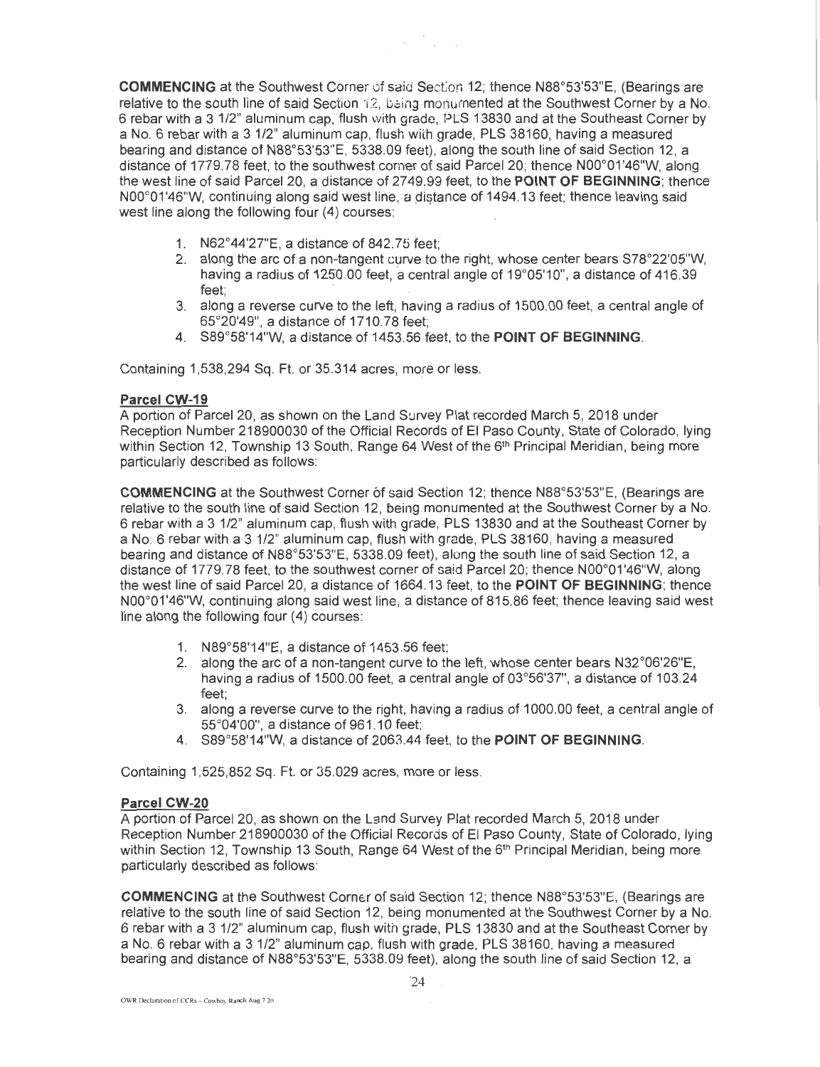**COMMENCING** at the Southwest Corner 0f said Section 12; thence N88°53'53"E, (Bearings are relative to the south line of said Section ·12, being monurnented at the Southwest Corner by a No. 6 rebar with a 3 1/2" aluminum cap, flush with grade, PLS 13830 and at the Southeast Corner by a No.6 rebar with a 3 1/2" aluminum cap, flush with grade, PLS 38160, having a measured bearing and distance of N88°53'53"E, 5338.09 feet), along the south line of said Section 12, a distance of 1779.78 feet, to the southwest corner of said Parcel 20; thence N00°01'46"W, along the west line of said Parcel 20, a distance of 2749.99 feet, to the **POINT OF BEGINNING;** thence N00°01'46"W, continuing along said west line, a distance of 1494.13 feet; thence leaving said west line along the following four (4) courses;

- 1. N62°44'27"E, a distance of 842.75 feet;
- 2. along the arc of a non-tangent curve to the right, whose center bears  $S78^{\circ}22'05''W$ , having a radius of  $1250.00$  feet, a central angle of  $19^{\circ}05'10''$ , a distance of  $416.39$ feet:
- 3. along a reverse curve to the left, having a radius of 1500.00 feet, a central angle of 65°20'49", a distance of 1710.78 feet;
- 4. S89°58'14"W, a distance of 1453.56 feet, to the **POINT OF BEGINNING.**

Containing 1,538,294 Sq. Ft. or 35.314 acres, *more* or less.

#### **Parcel CW-19**

A portion of Parcel 20, as shown on the Land Survey Plat recorded March 5, 2018 under Reception Number 218900030 of the Official Records of El Paso County, State of Colorado, lying within Section 12, Township 13 South, Range 64 West of the 6<sup>th</sup> Principal Meridian, being more particularly described as follows:

**COMMENCING** at the Southwest Corner of said Section 12; thence N88°53'53"E, (Bearings are relative to the south line of said Section 12, being monumented at the Southwest Corner by a No. 6 rebar with a 3 1 /2" aluminum cap, flush With grade, PLS 13830 and at the Southeast Corner by a No. 6 rebar with a 3 1/2" aluminum cap, flush with grade, PLS 38160, having a measured bearing and distance of N88°53'53"E, 5338.09 feet), along the south line of said Section 12, a distance of 1779.78 feet, to the southwest corner of said Parcel20; thence N00°01'46"W, along the west line of said Parcel 20, a distance of 1664.13 feet, to the **POINT OF BEGINNING;** thence N00°01'46"W, continuing along said west line, a distance of 815.86 feet; thence leaving said west line along the following four (4) courses:

- 1. N89°58'14"E, a distance of 1453.56 feet;
- 2. along the arc of a non-tangent curve to the left, whose center bears N32°06'26"E, having a radius of 1500.00 feet, a central angle of 03°56'37", a distance of 103.24 feet;
- 3. along a reverse curve to the right, having a radius of 1000.00 feet, a central angle of 55°04'00", a distance of 961 .10 feet;
- 4. S89°58'14"W, a distance of 2063.44 feet, to the **POINT OF BEGINNING.**

Containing 1,525,852 Sq. Ft. or 35.029 acres, more or less.

### **Parcel CW-20**

A portion of Parcel 20, as shown on the Land Survey Plat recorded March 5, 2018 under Reception Number 218900030 of the Official Records of El Paso County, State of Colorado, lying within Section 12, Township 13 South, Range 64 West of the 6<sup>th</sup> Principal Meridian, being more particularly described as follows:

**COMMENCING** at the Southwest Corner of said Section 12; thence N88°53'53"E, (Bearings are relative to the south line of said Section 12, being monumented at the Southwest Corner by a No. 6 rebar with a 3 1/2" aluminum cap, flush with grade, PLS 13830 and at the Southeast Corner by a No. 6 rebar with a 3 1/2" aluminum cap, flush with grade, PLS 38160, having a measured bearing and distance of N88°53'53"E, 5338.09 feet), along the south line of said Section 12, a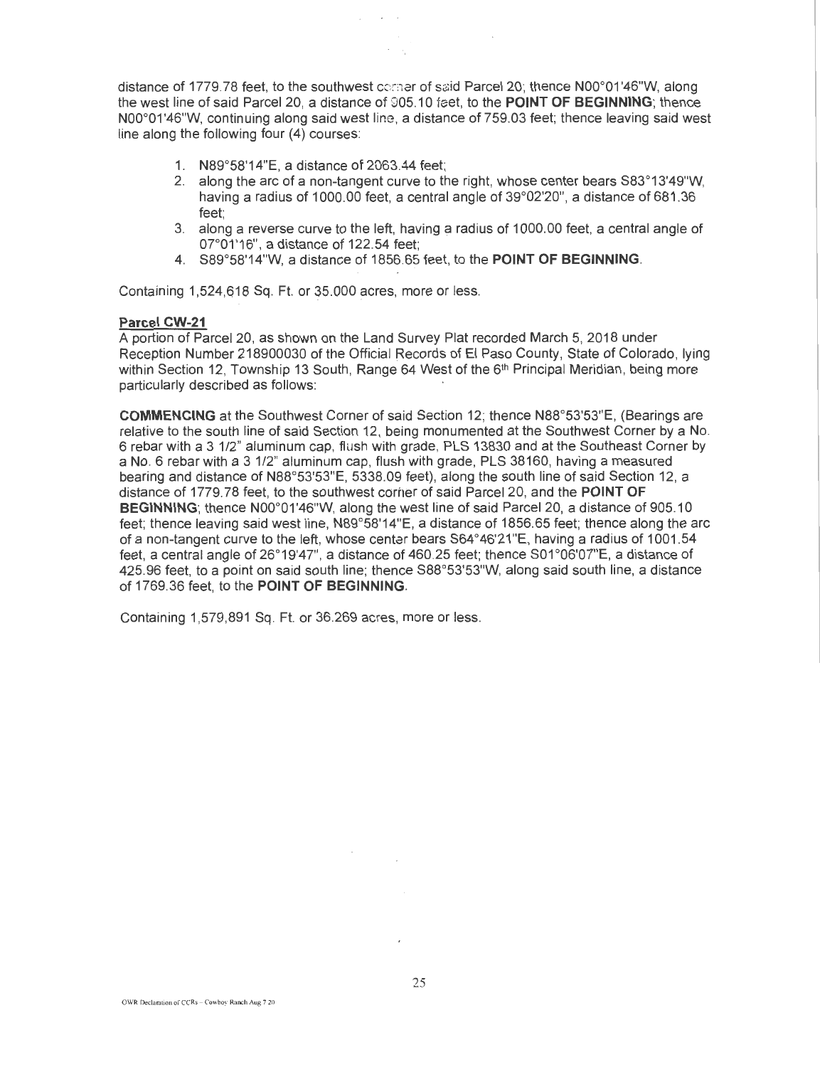distance of 1779.78 feet, to the southwest corner of said Parcel 20; thence N00°01'46"W, along the west line of said Parcel 20, a distance of 905.10 feet, to the **POINT OF BEGINNING;** thence N00°01 '46"W, continuing along said west line, a distance of 759.03 feet; thence leaving said west line along the following four (4) courses:

- 1. N89°58'14"E, a distance of 2063.44 feet;
- 2. along the arc of a non-tangent curve to the right, whose center bears S83°13'49"W, having a radius of 1000.00 feet, a central angle of 39°02'20", a distance of 681.36 feet;
- 3. along a reverse curve to the left, having a radius of 1000.00 feet, a central angle of  $07^{\circ}01'16"$ , a distance of 122.54 feet;
- 4. S89°58'14"W, a distance of 1856.65 feet, to the **POINT OF BEGINNING.**

Containing 1,524,618 Sq. Ft. or 35.000 acres, more or less.

### **Parcel CW-21**

A portion of Parcel 20, as shown on the Land Survey Plat recorded March 5, 2018 under Reception Number 218900030 of the Official Records of El Paso County, State of Colorado, Iving within Section 12, Township 13 South, Range 64 West of the 6<sup>th</sup> Principal Meridian, being more particularly described as follows:

**COMMENCING** at the Southwest Corner of said Section 12; thence N88°53'53"E, (Bearings are relative to the south line of said Section 12, being monumented at the Southwest Corner by a No. 6 rebar with a 3 1/2" aluminum cap, flush with grade, PLS 13830 and at the Southeast Corner by a No.6 rebar with a 3 1/2" aluminum cap, flush with grade, PLS 38160, having a measured bearing and distance of N88°53'53"E, 5338.09 feet}, along the south line of said Section 12, a distance of 1779.78 feet, to the southwest corher of said Parcel 20, and the **POINT OF BEGINNING**; thence N00°01'46"W, along the west line of said Parcel 20, a distance of 905.10 feet; thence leaving said west line, N89°58'14"E, a distance of 1856.65 feet; thence along the arc of a non-tangent curve to the left, whose centar bears S64 °46'21 "E, having a radius of 1001 .54 feet, a central angle of 26°19'47", a distance of 460.25 feet; thence S01 °06'07"E, a distance of 425.96 feet, to a point on said south line; thence S88°53'53"W, along said south line, a distance of 1769.36 feet, to the **POINT OF BEGINNING.** 

Containing 1,579,891 Sq. Ft. or 36.269 acres, more or less.